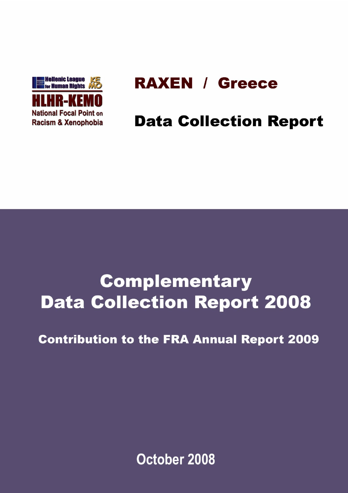

# **RAXEN / Greece**

# **Data Collection Report**

# **Complementary Data Collection Report 2008**

## **Contribution to the FRA Annual Report 2009**

October 2008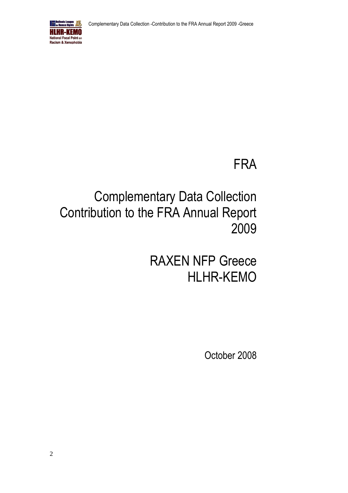

# FRA

# Complementary Data Collection Contribution to the FRA Annual Report 2009

RAXEN NFP Greece HLHR-KEMO

October 2008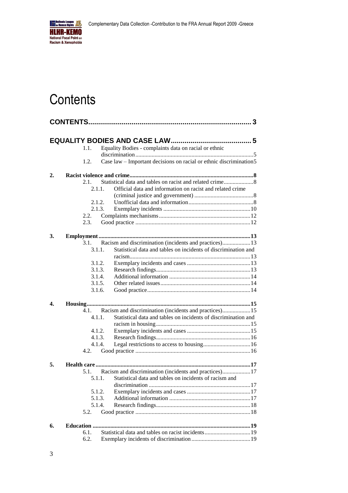

## <span id="page-2-0"></span>**Contents**

| Equality Bodies - complaints data on racial or ethnic<br>1.1.<br>Case law - Important decisions on racial or ethnic discrimination5<br>1.2.<br>$\overline{2}$ .<br>2.1.<br>Official data and information on racist and related crime<br>2.1.1.<br>2.1.2.<br>2.1.3.<br>2.2.<br>2.3.<br>3.<br>Racism and discrimination (incidents and practices)13<br>3.1.<br>Statistical data and tables on incidents of discrimination and<br>3.1.1.<br>3.1.2.<br>3.1.3.<br>3.1.4.<br>3.1.5.<br>3.1.6.<br>4.<br>Racism and discrimination (incidents and practices)15<br>4.1.<br>Statistical data and tables on incidents of discrimination and<br>4.1.1.<br>4.1.2.<br>4.1.3.<br>4.1.4.<br>4.2.<br>5.<br>Racism and discrimination (incidents and practices)17<br>5.1.<br>Statistical data and tables on incidents of racism and<br>5.1.1.<br>5.1.2.<br>5.1.3.<br>5.1.4.<br>5.2.<br>6.<br>Statistical data and tables on racist incidents19<br>6.1.<br>6.2. |  |  |
|----------------------------------------------------------------------------------------------------------------------------------------------------------------------------------------------------------------------------------------------------------------------------------------------------------------------------------------------------------------------------------------------------------------------------------------------------------------------------------------------------------------------------------------------------------------------------------------------------------------------------------------------------------------------------------------------------------------------------------------------------------------------------------------------------------------------------------------------------------------------------------------------------------------------------------------------|--|--|
|                                                                                                                                                                                                                                                                                                                                                                                                                                                                                                                                                                                                                                                                                                                                                                                                                                                                                                                                              |  |  |
|                                                                                                                                                                                                                                                                                                                                                                                                                                                                                                                                                                                                                                                                                                                                                                                                                                                                                                                                              |  |  |
|                                                                                                                                                                                                                                                                                                                                                                                                                                                                                                                                                                                                                                                                                                                                                                                                                                                                                                                                              |  |  |
|                                                                                                                                                                                                                                                                                                                                                                                                                                                                                                                                                                                                                                                                                                                                                                                                                                                                                                                                              |  |  |
|                                                                                                                                                                                                                                                                                                                                                                                                                                                                                                                                                                                                                                                                                                                                                                                                                                                                                                                                              |  |  |
|                                                                                                                                                                                                                                                                                                                                                                                                                                                                                                                                                                                                                                                                                                                                                                                                                                                                                                                                              |  |  |
|                                                                                                                                                                                                                                                                                                                                                                                                                                                                                                                                                                                                                                                                                                                                                                                                                                                                                                                                              |  |  |
|                                                                                                                                                                                                                                                                                                                                                                                                                                                                                                                                                                                                                                                                                                                                                                                                                                                                                                                                              |  |  |
|                                                                                                                                                                                                                                                                                                                                                                                                                                                                                                                                                                                                                                                                                                                                                                                                                                                                                                                                              |  |  |
|                                                                                                                                                                                                                                                                                                                                                                                                                                                                                                                                                                                                                                                                                                                                                                                                                                                                                                                                              |  |  |
|                                                                                                                                                                                                                                                                                                                                                                                                                                                                                                                                                                                                                                                                                                                                                                                                                                                                                                                                              |  |  |
|                                                                                                                                                                                                                                                                                                                                                                                                                                                                                                                                                                                                                                                                                                                                                                                                                                                                                                                                              |  |  |
|                                                                                                                                                                                                                                                                                                                                                                                                                                                                                                                                                                                                                                                                                                                                                                                                                                                                                                                                              |  |  |
|                                                                                                                                                                                                                                                                                                                                                                                                                                                                                                                                                                                                                                                                                                                                                                                                                                                                                                                                              |  |  |
|                                                                                                                                                                                                                                                                                                                                                                                                                                                                                                                                                                                                                                                                                                                                                                                                                                                                                                                                              |  |  |
|                                                                                                                                                                                                                                                                                                                                                                                                                                                                                                                                                                                                                                                                                                                                                                                                                                                                                                                                              |  |  |
|                                                                                                                                                                                                                                                                                                                                                                                                                                                                                                                                                                                                                                                                                                                                                                                                                                                                                                                                              |  |  |
|                                                                                                                                                                                                                                                                                                                                                                                                                                                                                                                                                                                                                                                                                                                                                                                                                                                                                                                                              |  |  |
|                                                                                                                                                                                                                                                                                                                                                                                                                                                                                                                                                                                                                                                                                                                                                                                                                                                                                                                                              |  |  |
|                                                                                                                                                                                                                                                                                                                                                                                                                                                                                                                                                                                                                                                                                                                                                                                                                                                                                                                                              |  |  |
|                                                                                                                                                                                                                                                                                                                                                                                                                                                                                                                                                                                                                                                                                                                                                                                                                                                                                                                                              |  |  |
|                                                                                                                                                                                                                                                                                                                                                                                                                                                                                                                                                                                                                                                                                                                                                                                                                                                                                                                                              |  |  |
|                                                                                                                                                                                                                                                                                                                                                                                                                                                                                                                                                                                                                                                                                                                                                                                                                                                                                                                                              |  |  |
|                                                                                                                                                                                                                                                                                                                                                                                                                                                                                                                                                                                                                                                                                                                                                                                                                                                                                                                                              |  |  |
|                                                                                                                                                                                                                                                                                                                                                                                                                                                                                                                                                                                                                                                                                                                                                                                                                                                                                                                                              |  |  |
|                                                                                                                                                                                                                                                                                                                                                                                                                                                                                                                                                                                                                                                                                                                                                                                                                                                                                                                                              |  |  |
|                                                                                                                                                                                                                                                                                                                                                                                                                                                                                                                                                                                                                                                                                                                                                                                                                                                                                                                                              |  |  |
|                                                                                                                                                                                                                                                                                                                                                                                                                                                                                                                                                                                                                                                                                                                                                                                                                                                                                                                                              |  |  |
|                                                                                                                                                                                                                                                                                                                                                                                                                                                                                                                                                                                                                                                                                                                                                                                                                                                                                                                                              |  |  |
|                                                                                                                                                                                                                                                                                                                                                                                                                                                                                                                                                                                                                                                                                                                                                                                                                                                                                                                                              |  |  |
|                                                                                                                                                                                                                                                                                                                                                                                                                                                                                                                                                                                                                                                                                                                                                                                                                                                                                                                                              |  |  |
|                                                                                                                                                                                                                                                                                                                                                                                                                                                                                                                                                                                                                                                                                                                                                                                                                                                                                                                                              |  |  |
|                                                                                                                                                                                                                                                                                                                                                                                                                                                                                                                                                                                                                                                                                                                                                                                                                                                                                                                                              |  |  |
|                                                                                                                                                                                                                                                                                                                                                                                                                                                                                                                                                                                                                                                                                                                                                                                                                                                                                                                                              |  |  |
|                                                                                                                                                                                                                                                                                                                                                                                                                                                                                                                                                                                                                                                                                                                                                                                                                                                                                                                                              |  |  |
|                                                                                                                                                                                                                                                                                                                                                                                                                                                                                                                                                                                                                                                                                                                                                                                                                                                                                                                                              |  |  |
|                                                                                                                                                                                                                                                                                                                                                                                                                                                                                                                                                                                                                                                                                                                                                                                                                                                                                                                                              |  |  |
|                                                                                                                                                                                                                                                                                                                                                                                                                                                                                                                                                                                                                                                                                                                                                                                                                                                                                                                                              |  |  |
|                                                                                                                                                                                                                                                                                                                                                                                                                                                                                                                                                                                                                                                                                                                                                                                                                                                                                                                                              |  |  |
|                                                                                                                                                                                                                                                                                                                                                                                                                                                                                                                                                                                                                                                                                                                                                                                                                                                                                                                                              |  |  |
|                                                                                                                                                                                                                                                                                                                                                                                                                                                                                                                                                                                                                                                                                                                                                                                                                                                                                                                                              |  |  |
|                                                                                                                                                                                                                                                                                                                                                                                                                                                                                                                                                                                                                                                                                                                                                                                                                                                                                                                                              |  |  |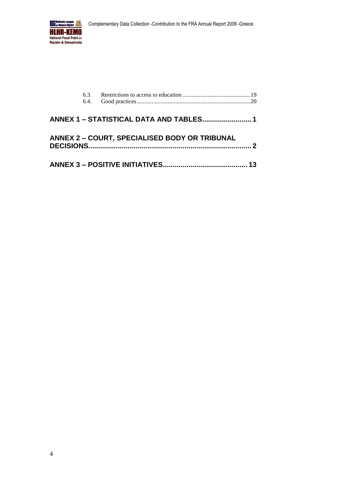

|  | <b>ANNEX 2 - COURT, SPECIALISED BODY OR TRIBUNAL</b> |                 |
|--|------------------------------------------------------|-----------------|
|  |                                                      | 13 <sup>1</sup> |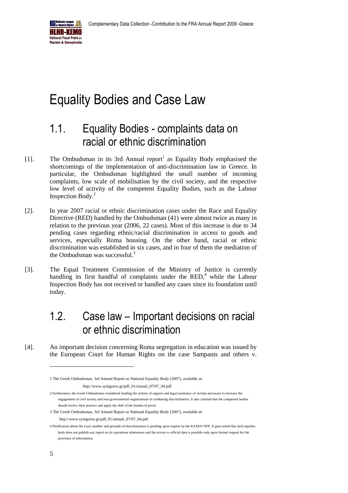

## <span id="page-4-0"></span>Equality Bodies and Case Law

## <span id="page-4-1"></span>1.1. Equality Bodies - complaints data on racial or ethnic discrimination

- [1]. The Ombudsman in its 3rd Annual report<sup>1</sup> as Equality Body emphasised the shortcomings of the implementation of anti-discrimination law in Greece. In particular, the Ombudsman highlighted the small number of incoming complaints, low scale of mobilisation by the civil society, and the respective low level of activity of the competent Equality Bodies, such as the Labour Inspection Body.<sup>2</sup>
- [2]. In year 2007 racial or ethnic discrimination cases under the Race and Equality Directive (RED) handled by the Ombudsman (41) were almost twice as many in relation to the previous year (2006, 22 cases). Most of this increase is due to 34 pending cases regarding ethnic/racial discrimination in access to goods and services, especially Roma housing. On the other hand, racial or ethnic discrimination was established in six cases, and in four of them the mediation of the Ombudsman was successful.<sup>3</sup>
- [3]. The Equal Treatment Commission of the Ministry of Justice is currently handling its first handful of complaints under the RED,<sup>4</sup> while the Labour Inspection Body has not received or handled any cases since its foundation until today.

## <span id="page-4-2"></span>1.2. Case law – Important decisions on racial or ethnic discrimination

[4]. An important decision concerning Roma segregation in education was issued by the European Court for Human Rights on the case Sampanis and others v.

- 2 Furthermore, the Greek Ombudsman considered funding the actions of support and legal assistance of victims necessary to increase the engagement of civil society and non-governmental organisations in combating discrimination. It also claimed that the competent bodies should review their practice and apply the shift of the burden of proof.
- 3 The Greek Ombudsman, 3rd Annual Report as National Equality Body (2007), available at: [http://www.synigoros.gr/pdf\\_01/annual\\_07/07\\_04.pdf](http://www.synigoros.gr/pdf_01/annual_07/07_04.pdf)

<sup>1</sup> The Greek Ombudsman, 3rd Annual Report as National Equality Body (2007), available at:

[http://www.synigoros.gr/pdf\\_01/annual\\_07/07\\_04.pdf](http://www.synigoros.gr/pdf_01/annual_07/07_04.pdf)

<sup>4</sup> Notification about the exact number and grounds of discrimination is pending upon request by the RAXEN NFP. It goes noted that such equality body does not publish any report on its operations whatsoever and the access to official data is possible only upon formal request for the provision of information.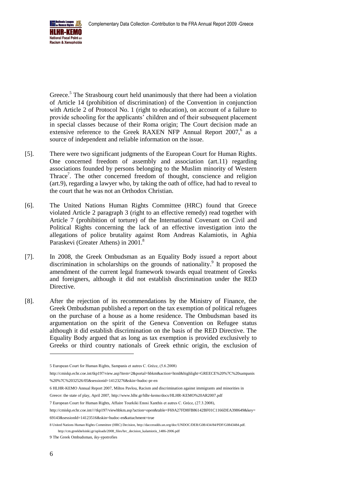

Greece.<sup>5</sup> The Strasbourg court held unanimously that there had been a violation of Article 14 (prohibition of discrimination) of the Convention in conjunction with Article 2 of Protocol No. 1 (right to education), on account of a failure to provide schooling for the applicants' children and of their subsequent placement in special classes because of their Roma origin; The Court decision made an extensive reference to the Greek RAXEN NFP Annual Report 2007,<sup>6</sup> as a source of independent and reliable information on the issue.

- [5]. There were two significant judgments of the European Court for Human Rights. One concerned freedom of assembly and association (art.11) regarding associations founded by persons belonging to the Muslim minority of Western Thrace<sup>7</sup>. The other concerned freedom of thought, conscience and religion (art.9), regarding a lawyer who, by taking the oath of office, had had to reveal to the court that he was not an Orthodox Christian.
- [6]. The United Nations Human Rights Committee (HRC) found that Greece violated Article 2 paragraph 3 (right to an effective remedy) read together with Article 7 (prohibition of torture) of the International Covenant on Civil and Political Rights concerning the lack of an effective investigation into the allegations of police brutality against Rom Andreas Kalamiotis, in Aghia Paraskevi (Greater Athens) in 2001.<sup>8</sup>
- [7]. In 2008, the Greek Ombudsman as an Equality Body issued a report about discrimination in scholarships on the grounds of nationality.<sup>9</sup> It proposed the amendment of the current legal framework towards equal treatment of Greeks and foreigners, although it did not establish discrimination under the RED Directive.
- [8]. After the rejection of its recommendations by the Ministry of Finance, the Greek Ombudsman published a report on the tax exemption of political refugees on the purchase of a house as a home residence. The Ombudsman based its argumentation on the spirit of the Geneva Convention on Refugee status although it did establish discrimination on the basis of the RED Directive. The Equality Body argued that as long as tax exemption is provided exclusively to Greeks or third country nationals of Greek ethnic origin, the exclusion of

<sup>5</sup> European Court for Human Rights, Sampanis et autres C. Grèce, (5.6.2008)

[http://cmiskp.echr.coe.int/tkp197/view.asp?item=2&portal=hbkm&action=html&highlight=GREECE%20%7C%20sampanis](http://cmiskp.echr.coe.int/tkp197/view.asp?item=2&portal=hbkm&action=html&highlight=GREECE%20%7C%20sampanis%20%7C%2032526/05&sessionid=14123276&skin=hudoc-pr-en) [%20%7C%2032526/05&sessionid=14123276&skin=hudoc-pr-en](http://cmiskp.echr.coe.int/tkp197/view.asp?item=2&portal=hbkm&action=html&highlight=GREECE%20%7C%20sampanis%20%7C%2032526/05&sessionid=14123276&skin=hudoc-pr-en)

<sup>6</sup> HLHR-KEMO Annual Report 2007, Miltos Pavlou, Racism and discrimination against immigrants and minorities in

Greece: the state of play, April 2007[, http://www.hlhr.gr/hlhr-kemo/docs/HLHR-KEMO%20AR2007.pdf](http://www.hlhr.gr/hlhr-kemo/docs/HLHR-KEMO%20AR2007.pdf)

<sup>7</sup> European Court for Human Rights, Affaire Tourkiki Enosi Xanthis et autres C. Grèce, (27.3.2008),

[http://cmiskp.echr.coe.int////tkp197/viewhbkm.asp?action=open&table=F69A27FD8FB86142BF01C1166DEA398649&key=](http://cmiskp.echr.coe.int/tkp197/viewhbkm.asp?action=open&table=F69A27FD8FB86142BF01C1166DEA398649&key=69143&sessionId=14123516&skin=hudoc-en&attachment=true) [69143&sessionId=14123516&skin=hudoc-en&attachment=true](http://cmiskp.echr.coe.int/tkp197/viewhbkm.asp?action=open&table=F69A27FD8FB86142BF01C1166DEA398649&key=69143&sessionId=14123516&skin=hudoc-en&attachment=true)

<sup>8</sup> United Nations Human Rights Committee (HRC) Decision[, http://daccessdds.un.org/doc/UNDOC/DER/G08/434/84/PDF/G0843484.pdf.](http://daccessdds.un.org/doc/UNDOC/DER/G08/434/84/PDF/G0843484.pdf) http://cm.greekhelsinki.gr/uploads/2008\_files/hrc\_decision\_kalamiotis\_1486-2006.pdf

<sup>9</sup> The Greek Ombudsman, iky-ypotrofies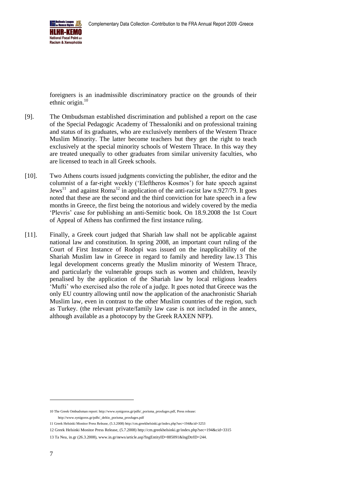

foreigners is an inadmissible discriminatory practice on the grounds of their ethnic origin. $10$ 

- [9]. The Ombudsman established discrimination and published a report on the case of the Special Pedagogic Academy of Thessaloniki and on professional training and status of its graduates, who are exclusively members of the Western Thrace Muslim Minority. The latter become teachers but they get the right to teach exclusively at the special minority schools of Western Thrace. In this way they are treated unequally to other graduates from similar university faculties, who are licensed to teach in all Greek schools.
- [10]. Two Athens courts issued judgments convicting the publisher, the editor and the columnist of a far-right weekly ('Eleftheros Kosmos') for hate speech against Jews<sup>11</sup> and against Roma<sup>12</sup> in application of the anti-racist law n.927/79. It goes noted that these are the second and the third conviction for hate speech in a few months in Greece, the first being the notorious and widely covered by the media 'Plevris' case for publishing an anti-Semitic book. On 18.9.2008 the 1st Court of Appeal of Athens has confirmed the first instance ruling.
- [11]. Finally, a Greek court judged that Shariah law shall not be applicable against national law and constitution. In spring 2008, an important court ruling of the Court of First Instance of Rodopi was issued on the inapplicability of the Shariah Muslim law in Greece in regard to family and heredity law.13 This legal development concerns greatly the Muslim minority of Western Thrace, and particularly the vulnerable groups such as women and children, heavily penalised by the application of the Shariah law by local religious leaders 'Mufti' who exercised also the role of a judge. It goes noted that Greece was the only EU country allowing until now the application of the anachronistic Shariah Muslim law, even in contrast to the other Muslim countries of the region, such as Turkey. (the relevant private/family law case is not included in the annex, although available as a photocopy by the Greek RAXEN NFP).

<sup>10</sup> The Greek Ombudsman report[: http://www.synigoros.gr/pdfs/\\_porisma\\_prosfuges.pdf,](http://www.synigoros.gr/pdfs/_porisma_prosfuges.pdf) Press release: [http://www.synigoros.gr/pdfs/\\_deltio\\_porisma\\_prosfuges.pdf](http://www.synigoros.gr/pdfs/_deltio_porisma_prosfuges.pdf)

<sup>11</sup> Greek Helsinki Monitor Press Release, (5.3.2008[\) http://cm.greekhelsinki.gr/index.php?sec=194&cid=3253](http://cm.greekhelsinki.gr/index.php?sec=194&cid=3253)

<sup>12</sup> Greek Helsinki Monitor Press Release, (5.7.2008[\) http://cm.greekhelsinki.gr/index.php?sec=194&cid=3315](http://cm.greekhelsinki.gr/index.php?sec=194&cid=3315)

<sup>13</sup> Ta Nea, in.gr (26.3.2008)[, www.in.gr/news/article.asp?lngEntityID=885091&lngDtrID=244.](http://www.in.gr/news/article.asp?lngEntityID=885091&lngDtrID=244)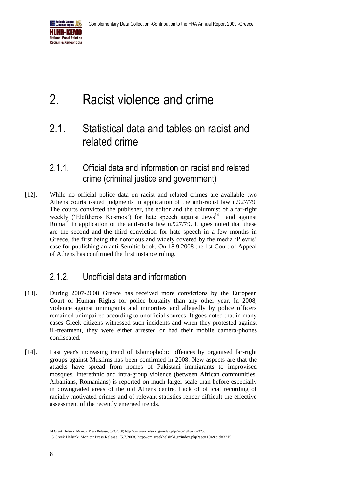

# <span id="page-7-0"></span>2. Racist violence and crime

## <span id="page-7-1"></span>2.1. Statistical data and tables on racist and related crime

#### <span id="page-7-2"></span>2.1.1. Official data and information on racist and related crime (criminal justice and government)

[12]. While no official police data on racist and related crimes are available two Athens courts issued judgments in application of the anti-racist law n.927/79. The courts convicted the publisher, the editor and the columnist of a far-right weekly ('Eleftheros Kosmos') for hate speech against Jews<sup>14</sup> and against Roma<sup>15</sup> in application of the anti-racist law n.927/79. It goes noted that these are the second and the third conviction for hate speech in a few months in Greece, the first being the notorious and widely covered by the media 'Plevris' case for publishing an anti-Semitic book. On 18.9.2008 the 1st Court of Appeal of Athens has confirmed the first instance ruling.

## <span id="page-7-3"></span>2.1.2. Unofficial data and information

- [13]. During 2007-2008 Greece has received more convictions by the European Court of Human Rights for police brutality than any other year. In 2008, violence against immigrants and minorities and allegedly by police officers remained unimpaired according to unofficial sources. It goes noted that in many cases Greek citizens witnessed such incidents and when they protested against ill-treatment, they were either arrested or had their mobile camera-phones confiscated.
- [14]. Last year's increasing trend of Islamophobic offences by organised far-right groups against Muslims has been confirmed in 2008. New aspects are that the attacks have spread from homes of Pakistani immigrants to improvised mosques. Interethnic and intra-group violence (between African communities, Albanians, Romanians) is reported on much larger scale than before especially in downgraded areas of the old Athens centre. Lack of official recording of racially motivated crimes and of relevant statistics render difficult the effective assessment of the recently emerged trends.

<sup>14</sup> Greek Helsinki Monitor Press Release, (5.3.2008[\) http://cm.greekhelsinki.gr/index.php?sec=194&cid=3253](http://cm.greekhelsinki.gr/index.php?sec=194&cid=3253) 15 Greek Helsinki Monitor Press Release, (5.7.2008[\) http://cm.greekhelsinki.gr/index.php?sec=194&cid=3315](http://cm.greekhelsinki.gr/index.php?sec=194&cid=3315)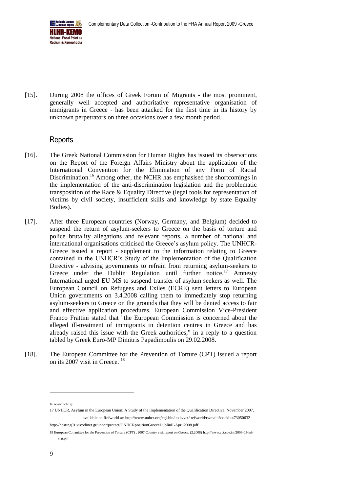

[15]. During 2008 the offices of Greek Forum of Migrants - the most prominent, generally well accepted and authoritative representative organisation of immigrants in Greece - has been attacked for the first time in its history by unknown perpetrators on three occasions over a few month period.

#### Reports

- [16]. The Greek National Commission for Human Rights has issued its observations on the Report of the Foreign Affairs Ministry about the application of the International Convention for the Elimination of any Form of Racial Discrimination.<sup>16</sup> Among other, the NCHR has emphasised the shortcomings in the implementation of the anti-discrimination legislation and the problematic transposition of the Race & Equality Directive (legal tools for representation of victims by civil society, insufficient skills and knowledge by state Equality Bodies).
- [17]. After three European countries (Norway, Germany, and Belgium) decided to suspend the return of asylum-seekers to Greece on the basis of torture and police brutality allegations and relevant reports, a number of national and international organisations criticised the Greece's asylum policy. The UNHCR-Greece issued a report - supplement to the information relating to Greece contained in the UNHCR's Study of the Implementation of the Qualification Directive - advising governments to refrain from returning asylum-seekers to Greece under the Dublin Regulation until further notice.<sup>17</sup> Amnesty International urged EU MS to suspend transfer of asylum seekers as well. The European Council on Refugees and Exiles (ECRE) sent letters to European Union governments on 3.4.2008 calling them to immediately stop returning asylum-seekers to Greece on the grounds that they will be denied access to fair and effective application procedures. European Commission Vice-President Franco Frattini stated that "the European Commission is concerned about the alleged ill-treatment of immigrants in detention centres in Greece and has already raised this issue with the Greek authorities," in a reply to a question tabled by Greek Euro-MP Dimitris Papadimoulis on 29.02.2008.
- [18]. The European Committee for the Prevention of Torture (CPT) issued a report on its 2007 visit in Greece. <sup>18</sup>

16 [www.nchr.gr](http://www.nchr.gr/)

17 UNHCR, Asylum in the European Union: A Study of the Implementation of the Qualification Directive, November 2007, available on Refworld at: http://www.unhcr.org/cgi-bin/texis/vtx/ refworld/rwmain?docid=473050632

<http://hosting01.vivodinet.gr/unhcr/protect/UNHCRpositionGreeceDublinII-April2008.pdf>

<sup>18</sup> European Committee for the Prevention of Torture (CPT) , 2007 Country visit report on Greece, (2.2008[\) http://www.cpt.coe.int/2008-03-inf](http://www.cpt.coe.int/2008-03-inf-eng.pdf)[eng.pdf](http://www.cpt.coe.int/2008-03-inf-eng.pdf)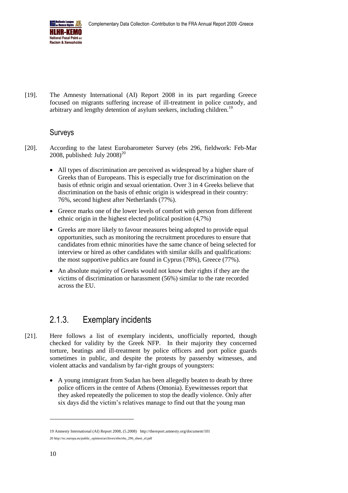

[19]. The Amnesty International (AI) Report 2008 in its part regarding Greece focused on migrants suffering increase of ill-treatment in police custody, and arbitrary and lengthy detention of asylum seekers, including children.<sup>19</sup>

#### Surveys

- [20]. According to the latest Eurobarometer Survey (ebs 296, fieldwork: Feb-Mar 2008, published: July  $2008$ <sup>20</sup>
	- All types of discrimination are perceived as widespread by a higher share of Greeks than of Europeans. This is especially true for discrimination on the basis of ethnic origin and sexual orientation. Over 3 in 4 Greeks believe that discrimination on the basis of ethnic origin is widespread in their country: 76%, second highest after Netherlands (77%).
	- Greece marks one of the lower levels of comfort with person from different ethnic origin in the highest elected political position (4,7%)
	- Greeks are more likely to favour measures being adopted to provide equal opportunities, such as monitoring the recruitment procedures to ensure that candidates from ethnic minorities have the same chance of being selected for interview or hired as other candidates with similar skills and qualifications: the most supportive publics are found in Cyprus (78%), Greece (77%).
	- An absolute majority of Greeks would not know their rights if they are the victims of discrimination or harassment (56%) similar to the rate recorded across the EU.

## <span id="page-9-0"></span>2.1.3. Exemplary incidents

- [21]. Here follows a list of exemplary incidents, unofficially reported, though checked for validity by the Greek NFP. In their majority they concerned torture, beatings and ill-treatment by police officers and port police guards sometimes in public, and despite the protests by passersby witnesses, and violent attacks and vandalism by far-right groups of youngsters:
	- A young immigrant from Sudan has been allegedly beaten to death by three police officers in the centre of Athens (Omonia). Eyewitnesses report that they asked repeatedly the policemen to stop the deadly violence. Only after six days did the victim's relatives manage to find out that the young man

<sup>19</sup> Amnesty International (AI) Report 2008, (5.2008) <http://thereport.amnesty.org/document/101> 20 [http://ec.europa.eu/public\\_opinion/archives/ebs/ebs\\_296\\_sheet\\_el.pdf](http://ec.europa.eu/public_opinion/archives/ebs/ebs_296_sheet_el.pdf)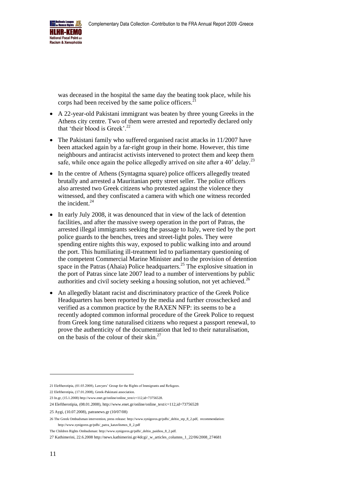

was deceased in the hospital the same day the beating took place, while his corps had been received by the same police officers.

- A 22-year-old Pakistani immigrant was beaten by three young Greeks in the Athens city centre. Two of them were arrested and reportedly declared only that 'their blood is Greek'.<sup>22</sup>
- The Pakistani family who suffered organised racist attacks in 11/2007 have been attacked again by a far-right group in their home. However, this time neighbours and antiracist activists intervened to protect them and keep them safe, while once again the police allegedly arrived on site after a 40' delay.<sup>23</sup>
- In the centre of Athens (Syntagma square) police officers allegedly treated brutally and arrested a Mauritanian petty street seller. The police officers also arrested two Greek citizens who protested against the violence they witnessed, and they confiscated a camera with which one witness recorded the incident. $^{24}$
- In early July 2008, it was denounced that in view of the lack of detention facilities, and after the massive sweep operation in the port of Patras, the arrested illegal immigrants seeking the passage to Italy, were tied by the port police guards to the benches, trees and street-light poles. They were spending entire nights this way, exposed to public walking into and around the port. This humiliating ill-treatment led to parliamentary questioning of the competent Commercial Marine Minister and to the provision of detention space in the Patras (Ahaia) Police headquarters.<sup>25</sup> The explosive situation in the port of Patras since late 2007 lead to a number of interventions by public authorities and civil society seeking a housing solution, not yet achieved.<sup>26</sup>
- An allegedly blatant racist and discriminatory practice of the Greek Police Headquarters has been reported by the media and further crosschecked and verified as a common practice by the RAXEN NFP: its seems to be a recently adopted common informal procedure of the Greek Police to request from Greek long time naturalised citizens who request a passport renewal, to prove the authenticity of the documentation that led to their naturalisation, on the basis of the colour of their skin.<sup>27</sup>

<sup>21</sup> Eleftherotipia, (01.03.2008), Lawyers' Group for the Rights of Immigrants and Refugees.

<sup>22</sup> Eleftherotipia, (17.01.2008), Greek-Pakistani association.

<sup>23</sup> In.gr, (15.1.2008[\) http://www.enet.gr/online/online\\_text/c=112,id=73756528.](http://www.enet.gr/online/online_text/c=112,id=73756528)

<sup>24</sup> Eleftherotipia, (08.01.2008)[, http://www.enet.gr/online/online\\_text/c=112,id=73756528](http://www.enet.gr/online/online_text/c=112,id=73756528) 

<sup>25</sup> Aygi, (10.07.2008), patranews.gr (10/07/08)

<sup>26</sup> The Greek Ombudsman intervention, press release[: http://www.synigoros.gr/pdfs/\\_deltio\\_stp\\_8\\_2.pdf,](http://www.synigoros.gr/pdfs/_deltio_stp_8_2.pdf) recommendation: http://www.synigoros.gr/pdfs/\_patra\_katavlismos\_8\_2.pdf

The Children Rights Ombudsman: http://www.synigoros.gr/pdfs/\_deltio\_paidiou\_8\_2.pdf.

<sup>27</sup> Kathimerini, 22.6.2008 [http://news.kathimerini.gr/4dcgi/\\_w\\_articles\\_columns\\_1\\_22/06/2008\\_274681](http://news.kathimerini.gr/4dcgi/_w_articles_columns_1_22/06/2008_274681)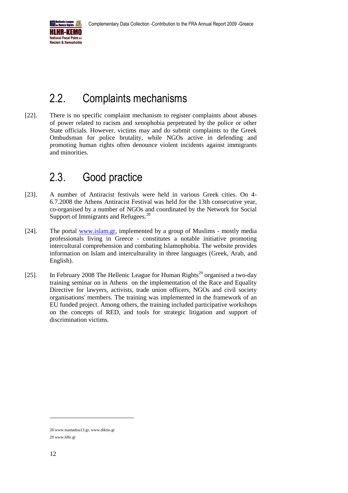

## <span id="page-11-0"></span>2.2. Complaints mechanisms

[22]. There is no specific complaint mechanism to register complaints about abuses of power related to racism and xenophobia perpetrated by the police or other State officials. However, victims may and do submit complaints to the Greek Ombudsman for police brutality, while NGOs active in defending and promoting human rights often denounce violent incidents against immigrants and minorities.

## <span id="page-11-1"></span>2.3. Good practice

- [23]. A number of Antiracist festivals were held in various Greek cities. On 4- 6.7.2008 the Athens Antiracist Festival was held for the 13th consecutive year, co-organised by a number of NGOs and coordinated by the Network for Social Support of Immigrants and Refugees.<sup>28</sup>
- [24]. The portal [www.islam.gr,](http://www.islam.gr/) implemented by a group of Muslims mostly media professionals living in Greece - constitutes a notable initiative promoting intercultural comprehension and combating Islamophobia. The website provides information on Islam and interculturality in three languages (Greek, Arab, and English).
- [25]. In February 2008 The Hellenic League for Human Rights<sup>29</sup> organised a two-day training seminar on in Athens on the implementation of the Race and Equality Directive for lawyers, activists, trade union officers, NGOs and civil society organisations' members. The training was implemented in the framework of an EU funded project. Among others, the training included participative workshops on the concepts of RED, and tools for strategic litigation and support of discrimination victims.

<sup>28</sup> [www.tsamadou13.gr,](http://www.tsamadou13.gr/) [www.diktio.gr](http://www.diktio.gr/)

<sup>29</sup> [www.hlhr.gr](http://www.hlhr.gr/)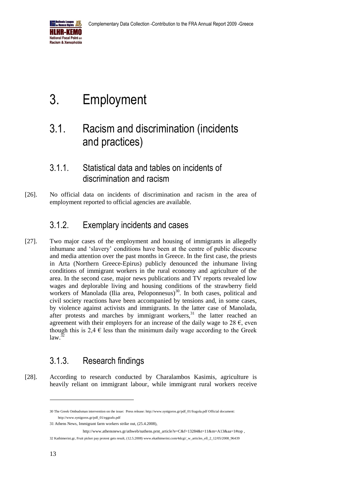

# <span id="page-12-0"></span>3. Employment

## <span id="page-12-1"></span>3.1. Racism and discrimination (incidents and practices)

#### <span id="page-12-2"></span>3.1.1. Statistical data and tables on incidents of discrimination and racism

[26]. No official data on incidents of discrimination and racism in the area of employment reported to official agencies are available.

## <span id="page-12-3"></span>3.1.2. Exemplary incidents and cases

[27]. Two major cases of the employment and housing of immigrants in allegedly inhumane and 'slavery' conditions have been at the centre of public discourse and media attention over the past months in Greece. In the first case, the priests in Arta (Northern Greece-Epirus) publicly denounced the inhumane living conditions of immigrant workers in the rural economy and agriculture of the area. In the second case, major news publications and TV reports revealed low wages and deplorable living and housing conditions of the strawberry field workers of Manolada (Ilia area, Peloponnesus)<sup>30</sup>. In both cases, political and civil society reactions have been accompanied by tensions and, in some cases, by violence against activists and immigrants. In the latter case of Manolada, after protests and marches by immigrant workers, $31$  the latter reached an agreement with their employers for an increase of the daily wage to 28  $\epsilon$ , even though this is 2.4  $\epsilon$  less than the minimum daily wage according to the Greek  $\int$ law  $\overline{32}$ 

## <span id="page-12-4"></span>3.1.3. Research findings

[28]. According to research conducted by Charalambos Kasimis, agriculture is heavily reliant on immigrant labour, while immigrant rural workers receive

<sup>30</sup> The Greek Ombudsman intervention on the issue: [Press release: http://www.synigoros.gr/pdf\\_01/fragola.pdf](http://www.synigoros.gr/pdf_01/fragola.pdf) [Official document:](http://www.synigoros.gr/pdf_01/eggrafo.pdf)  http://www.synigoros.gr/pdf\_01/eggrafo.pdf

<sup>31</sup> Athens News, Immigrant farm workers strike out, (25.4.2008),

[http://www.athensnews.gr/athweb/nathens.prnt\\_article?e=C&f=13284&t=11&m=A13&aa=1#top](http://www.athensnews.gr/athweb/nathens.prnt_article?e=C&f=13284&t=11&m=A13&aa=1#top)

<sup>32</sup> Kathimerini.gr, Fruit picker pay protest gets result, (12.5.2008) www.ekathimerini.com/4dcgi/\_w\_articles\_ell\_2\_12/05/2008\_96439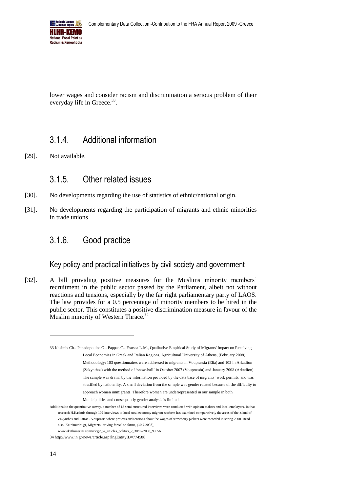

lower wages and consider racism and discrimination a serious problem of their everyday life in Greece.<sup>33</sup>.

#### <span id="page-13-0"></span>3.1.4. Additional information

[29]. Not available.

#### <span id="page-13-1"></span>3.1.5. Other related issues

- [30]. No developments regarding the use of statistics of ethnic/national origin.
- [31]. No developments regarding the participation of migrants and ethnic minorities in trade unions

#### <span id="page-13-2"></span>3.1.6. Good practice

#### Key policy and practical initiatives by civil society and government

[32]. A bill providing positive measures for the Muslims minority members' recruitment in the public sector passed by the Parliament, albeit not without reactions and tensions, especially by the far right parliamentary party of LAOS. The law provides for a 0.5 percentage of minority members to be hired in the public sector. This constitutes a positive discrimination measure in favour of the Muslim minority of Western Thrace.<sup>34</sup>

<sup>33</sup> Kasimis Ch.- Papadopoulos G.- Pappas C.- Fratsea L-M., Qualitative Empirical Study of Migrants' Impact on Receiving Local Economies in Greek and Italian Regions, Agricultural University of Athens, (February 2008). Methodology: 103 questionnaires were addressed to migrants in Vouprassia (Elia) and 102 in Arkadion (Zakynthos) with the method of 'snow-ball' in October 2007 (Vouprassia) and January 2008 (Arkadion). The sample was drawn by the information provided by the data base of migrants' work permits, and was stratified by nationality. A small deviation from the sample was gender related because of the difficulty to approach women immigrants. Therefore women are underrepresented in our sample in both Municipalities and consequently gender analysis is limited.

Additional to the quantitative survey, a number of 18 semi-structured interviews were conducted with opinion makers and local employers. In that research H.Kasimis through 102 interviews to local rural economy migrant workers has examined comparatively the areas of the island of Zakynthos and Patras - Vouprasia where protests and tensions about the wages of strawberry pickers were recorded in spring 2008. Read also: Kathimerini.gr, Migrants 'driving force' on farms, (30.7.2008),

www.ekathimerini.com/4dcgi/\_w\_articles\_politics\_2\_30/07/2008\_99056

<sup>34</sup> <http://www.in.gr/news/article.asp?lngEntityID=774588>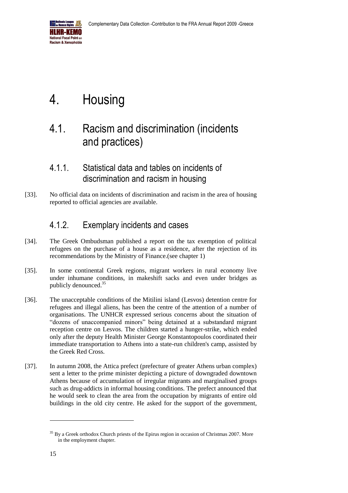

# <span id="page-14-0"></span>4. Housing

## <span id="page-14-1"></span>4.1. Racism and discrimination (incidents and practices)

#### <span id="page-14-2"></span>4.1.1. Statistical data and tables on incidents of discrimination and racism in housing

[33]. No official data on incidents of discrimination and racism in the area of housing reported to official agencies are available.

## <span id="page-14-3"></span>4.1.2. Exemplary incidents and cases

- [34]. The Greek Ombudsman published a report on the tax exemption of political refugees on the purchase of a house as a residence, after the rejection of its recommendations by the Ministry of Finance.(see chapter 1)
- [35]. In some continental Greek regions, migrant workers in rural economy live under inhumane conditions, in makeshift sacks and even under bridges as publicly denounced.<sup>35</sup>
- [36]. The unacceptable conditions of the Mitilini island (Lesvos) detention centre for refugees and illegal aliens, has been the centre of the attention of a number of organisations. The UNHCR expressed serious concerns about the situation of "dozens of unaccompanied minors" being detained at a substandard migrant reception centre on Lesvos. The children started a hunger-strike, which ended only after the deputy Health Minister George Konstantopoulos coordinated their immediate transportation to Athens into a state-run children's camp, assisted by the Greek Red Cross.
- [37]. In autumn 2008, the Attica prefect (prefecture of greater Athens urban complex) sent a letter to the prime minister depicting a picture of downgraded downtown Athens because of accumulation of irregular migrants and marginalised groups such as drug-addicts in informal housing conditions. The prefect announced that he would seek to clean the area from the occupation by migrants of entire old buildings in the old city centre. He asked for the support of the government,

<sup>&</sup>lt;sup>35</sup> By a Greek orthodox Church priests of the Epirus region in occasion of Christmas 2007. More in the employment chapter.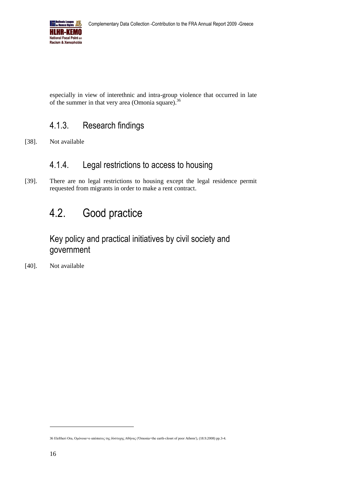

especially in view of interethnic and intra-group violence that occurred in late of the summer in that very area (Omonia square).<sup>36</sup>

#### <span id="page-15-0"></span>4.1.3. Research findings

[38]. Not available

## <span id="page-15-1"></span>4.1.4. Legal restrictions to access to housing

[39]. There are no legal restrictions to housing except the legal residence permit requested from migrants in order to make a rent contract.

## <span id="page-15-2"></span>4.2. Good practice

Key policy and practical initiatives by civil society and government

[40]. Not available

<sup>36</sup> Eleftheri Ora, Ομόνοια=ο απόπατος της δύστυχης Αθήνας ('Omonia=the earth-closet of poor Athens'), (18.9.2008) pp.3-4.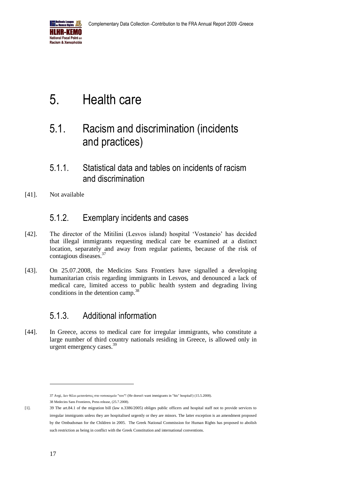

# <span id="page-16-0"></span>5. Health care

## <span id="page-16-1"></span>5.1. Racism and discrimination (incidents and practices)

#### <span id="page-16-2"></span>5.1.1. Statistical data and tables on incidents of racism and discrimination

[41]. Not available

#### <span id="page-16-3"></span>5.1.2. Exemplary incidents and cases

- [42]. The director of the Mitilini (Lesvos island) hospital 'Vostaneio' has decided that illegal immigrants requesting medical care be examined at a distinct location, separately and away from regular patients, because of the risk of contagious diseases.<sup>37</sup>
- [43]. On 25.07.2008, the Medicins Sans Frontiers have signalled a developing humanitarian crisis regarding immigrants in Lesvos, and denounced a lack of medical care, limited access to public health system and degrading living conditions in the detention camp.<sup>3</sup>

#### <span id="page-16-4"></span>5.1.3. Additional information

[44]. In Greece, access to medical care for irregular immigrants, who constitute a large number of third country nationals residing in Greece, is allowed only in urgent emergency cases.<sup>39</sup>

<sup>37</sup> Avgi, Δεν θέλει μετανάστες στο νοσοκομείο "του"! (He doesn't want immigrants in "his" hospital!) (15.5.2008). 38 Medecins Sans Frontieres, Press release, (25.7.2008).

<sup>[1].</sup> 39 The art.84.1 of the migration bill (law n.3386/2005) obliges public officers and hospital staff not to provide services to irregular immigrants unless they are hospitalised urgently or they are minors. The latter exception is an amendment proposed by the Ombudsman for the Children in 2005. The Greek National Commission for Human Rights has proposed to abolish such restriction as being in conflict with the Greek Constitution and international conventions.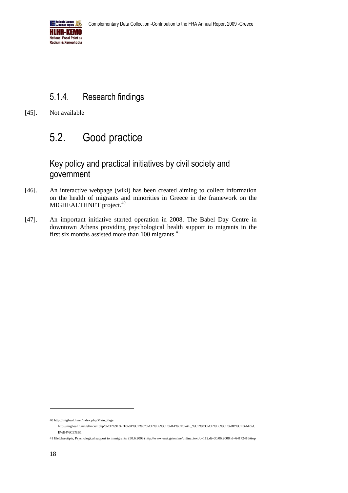

## <span id="page-17-0"></span>5.1.4. Research findings

[45]. Not available

## <span id="page-17-1"></span>5.2. Good practice

#### Key policy and practical initiatives by civil society and government

- [46]. An interactive webpage (wiki) has been created aiming to collect information on the health of migrants and minorities in Greece in the framework on the MIGHEALTHNET project.<sup>40</sup>
- [47]. An important initiative started operation in 2008. The Babel Day Centre in downtown Athens providing psychological health support to migrants in the first six months assisted more than 100 migrants.<sup>41</sup>

<sup>40</sup> [http://mighealth.net/index.php/Main\\_Page.](http://mighealth.net/index.php/Main_Page) 

[http://mighealth.net/el/index.php/%CE%91%CF%81%CF%87%CE%B9%CE%BA%CE%AE\\_%CF%83%CE%B5%CE%BB%CE%AF%C](http://mighealth.net/el/index.php/%CE%91%CF%81%CF%87%CE%B9%CE%BA%CE%AE_%CF%83%CE%B5%CE%BB%CE%AF%CE%B4%CE%B1) [E%B4%CE%B1](http://mighealth.net/el/index.php/%CE%91%CF%81%CF%87%CE%B9%CE%BA%CE%AE_%CF%83%CE%B5%CE%BB%CE%AF%CE%B4%CE%B1) 

<sup>41</sup> Eleftherotipia, Psychological support to immigrants, (30.6.2008) http://www.enet.gr/online/online\_text/c=112,dt=30.06.2008,id=64172416#top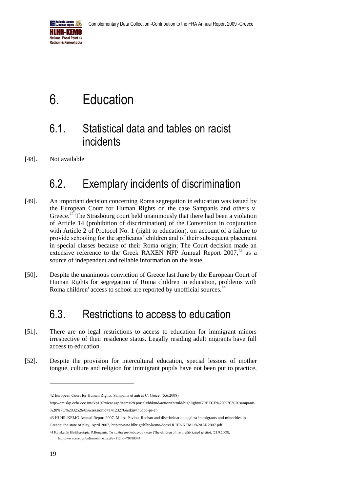

# <span id="page-18-0"></span>6. Education

## <span id="page-18-1"></span>6.1. Statistical data and tables on racist incidents

[48]. Not available

## <span id="page-18-2"></span>6.2. Exemplary incidents of discrimination

- [49]. An important decision concerning Roma segregation in education was issued by the European Court for Human Rights on the case Sampanis and others v. Greece.<sup>42</sup> The Strasbourg court held unanimously that there had been a violation of Article 14 (prohibition of discrimination) of the Convention in conjunction with Article 2 of Protocol No. 1 (right to education), on account of a failure to provide schooling for the applicants' children and of their subsequent placement in special classes because of their Roma origin; The Court decision made an extensive reference to the Greek RAXEN NFP Annual Report 2007.<sup>43</sup> as a source of independent and reliable information on the issue.
- [50]. Despite the unanimous conviction of Greece last June by the European Court of Human Rights for segregation of Roma children in education, problems with Roma children' access to school are reported by unofficial sources.<sup>44</sup>

## <span id="page-18-3"></span>6.3. Restrictions to access to education

- [51]. There are no legal restrictions to access to education for immigrant minors irrespective of their residence status. Legally residing adult migrants have full access to education.
- [52]. Despite the provision for intercultural education, special lessons of mother tongue, culture and religion for immigrant pupils have not been put to practice,

<sup>42</sup> European Court for Human Rights, Sampanis et autres C. Grèce, (5.6.2008)

[http://cmiskp.echr.coe.int/tkp197/view.asp?item=2&portal=hbkm&action=html&highlight=GREECE%20%7C%20sampanis](http://cmiskp.echr.coe.int/tkp197/view.asp?item=2&portal=hbkm&action=html&highlight=GREECE%20%7C%20sampanis%20%7C%2032526/05&sessionid=14123276&skin=hudoc-pr-en) [%20%7C%2032526/05&sessionid=14123276&skin=hudoc-pr-en](http://cmiskp.echr.coe.int/tkp197/view.asp?item=2&portal=hbkm&action=html&highlight=GREECE%20%7C%20sampanis%20%7C%2032526/05&sessionid=14123276&skin=hudoc-pr-en)

<sup>43</sup> HLHR-KEMO Annual Report 2007, Miltos Pavlou, Racism and discrimination against immigrants and minorities in Greece: the state of play, April 2007[, http://www.hlhr.gr/hlhr-kemo/docs/HLHR-KEMO%20AR2007.pdf](http://www.hlhr.gr/hlhr-kemo/docs/HLHR-KEMO%20AR2007.pdf)

<sup>44</sup> Kiriakatiki Eleftherotipia, P.Bouganis, Τα παιδιά του λυόμενου γκέτο (The children of the prefabricated ghetto), (21.9.2008), http://www.enet.gr/online/online\_text/c=112.id=70780344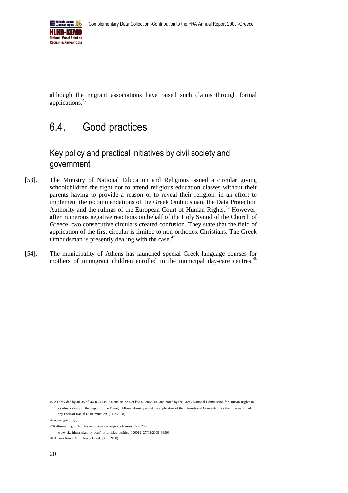

although the migrant associations have raised such claims through formal applications.<sup>45</sup>

## <span id="page-19-0"></span>6.4. Good practices

### Key policy and practical initiatives by civil society and government

- [53]. The Ministry of National Education and Religions issued a circular giving schoolchildren the right not to attend religious education classes without their parents having to provide a reason or to reveal their religion, in an effort to implement the recommendations of the Greek Ombudsman, the Data Protection Authority and the rulings of the European Court of Human Rights.<sup>46</sup> However, after numerous negative reactions on behalf of the Holy Synod of the Church of Greece, two consecutive circulars created confusion. They state that the field of application of the first circular is limited to non-orthodox Christians. The Greek Ombudsman is presently dealing with the case.<sup>47</sup>
- [54]. The municipality of Athens has launched special Greek language courses for mothers of immigrant children enrolled in the municipal day-care centres.<sup>48</sup>

<sup>45</sup> As provided by art.35 of law n.2413/1996 and art.72.4 of law n.3386/2005 and noted by the Greek National Commission for Human Rights in its observations on the Report of the Foreign Affairs Ministry about the application of the International Convention for the Elimination of any Form of Racial Discrimination. (14.2.2008)

<sup>46</sup> [www.ypepth.gr,](http://www.ypepth.gr/) 

<sup>47</sup>Kathimerini.gr, Church slams move on religious lessons (27.8.2008)

[www.ekathimerini.com/4dcgi/\\_w\\_articles\\_politics\\_100012\\_27/08/2008\\_99903](http://www.kathimerini.gr/4dcgi/_w_articles_politics_100012_27/08/2008_99903)

<sup>48</sup> Athens News, Mum learns Greek (30.5.2008).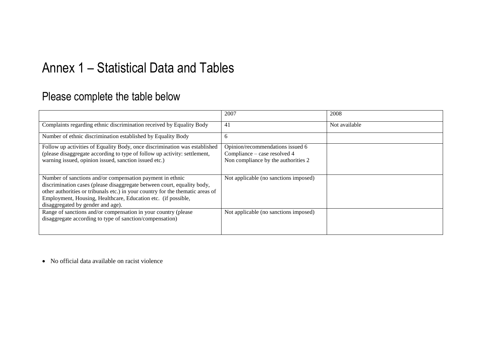## Annex 1 – Statistical Data and Tables

## Please complete the table below

|                                                                                                                                                                                                                                                                                                                              | 2007                                                                                                    | 2008          |
|------------------------------------------------------------------------------------------------------------------------------------------------------------------------------------------------------------------------------------------------------------------------------------------------------------------------------|---------------------------------------------------------------------------------------------------------|---------------|
| Complaints regarding ethnic discrimination received by Equality Body                                                                                                                                                                                                                                                         | 41                                                                                                      | Not available |
| Number of ethnic discrimination established by Equality Body                                                                                                                                                                                                                                                                 | 6                                                                                                       |               |
| Follow up activities of Equality Body, once discrimination was established<br>(please disaggregate according to type of follow up activity: settlement,<br>warning issued, opinion issued, sanction issued etc.)                                                                                                             | Opinion/recommendations issued 6<br>Compliance – case resolved 4<br>Non compliance by the authorities 2 |               |
| Number of sanctions and/or compensation payment in ethnic<br>discrimination cases (please disaggregate between court, equality body,<br>other authorities or tribunals etc.) in your country for the thematic areas of<br>Employment, Housing, Healthcare, Education etc. (if possible,<br>disaggregated by gender and age). | Not applicable (no sanctions imposed)                                                                   |               |
| Range of sanctions and/or compensation in your country (please<br>disaggregate according to type of sanction/compensation)                                                                                                                                                                                                   | Not applicable (no sanctions imposed)                                                                   |               |

<span id="page-20-0"></span>No official data available on racist violence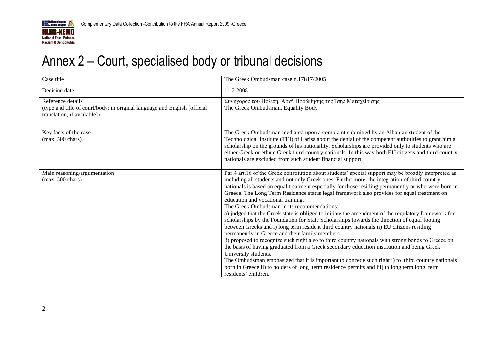

# Annex 2 – Court, specialised body or tribunal decisions

<span id="page-21-0"></span>

| Case title                                                                                                                    | The Greek Ombudsman case n.17817/2005                                                                                                                                                                                                                                                                                                                                                                                                                                                                                                                                                                                                                                                                                                                                                                                                                                                                                                                                                                                                                                                                                                                                                                                                                                                                                   |
|-------------------------------------------------------------------------------------------------------------------------------|-------------------------------------------------------------------------------------------------------------------------------------------------------------------------------------------------------------------------------------------------------------------------------------------------------------------------------------------------------------------------------------------------------------------------------------------------------------------------------------------------------------------------------------------------------------------------------------------------------------------------------------------------------------------------------------------------------------------------------------------------------------------------------------------------------------------------------------------------------------------------------------------------------------------------------------------------------------------------------------------------------------------------------------------------------------------------------------------------------------------------------------------------------------------------------------------------------------------------------------------------------------------------------------------------------------------------|
| Decision date                                                                                                                 | 11.2.2008                                                                                                                                                                                                                                                                                                                                                                                                                                                                                                                                                                                                                                                                                                                                                                                                                                                                                                                                                                                                                                                                                                                                                                                                                                                                                                               |
| Reference details<br>(type and title of court/body; in original language and English [official<br>translation, if available]) | Συνήγορος του Πολίτη, Αρχή Προώθησης της Ίσης Μεταχείρισης<br>The Greek Ombudsman, Equality Body                                                                                                                                                                                                                                                                                                                                                                                                                                                                                                                                                                                                                                                                                                                                                                                                                                                                                                                                                                                                                                                                                                                                                                                                                        |
| Key facts of the case<br>$(max. 500 \text{ chars})$                                                                           | The Greek Ombudsman mediated upon a complaint submitted by an Albanian student of the<br>Technological Institute (TEI) of Larisa about the denial of the competent authorities to grant him a<br>scholarship on the grounds of his nationality. Scholarships are provided only to students who are<br>either Greek or ethnic Greek third country nationals. In this way both EU citizens and third country<br>nationals are excluded from such student financial support.                                                                                                                                                                                                                                                                                                                                                                                                                                                                                                                                                                                                                                                                                                                                                                                                                                               |
| Main reasoning/argumentation<br>$(max. 500 \text{ chars})$                                                                    | Par.4 art.16 of the Greek constitution about students' special support may be broadly interpreted as<br>including all students and not only Greek ones. Furthermore, the integration of third country<br>nationals is based on equal treatment especially for those residing permanently or who were born in<br>Greece. The Long Term Residence status legal framework also provides for equal treatment on<br>education and vocational training.<br>The Greek Ombudsman in its recommendations:<br>a) judged that the Greek state is obliged to initiate the amendment of the regulatory framework for<br>scholarships by the Foundation for State Scholarships towards the direction of equal footing<br>between Greeks and i) long term resident third country nationals ii) EU citizens residing<br>permanently in Greece and their family members,<br>$\beta$ ) proposed to recognize such right also to third country nationals with strong bonds to Greece on<br>the basis of having graduated from a Greek secondary education institution and being Greek<br>University students.<br>The Ombudsman emphasized that it is important to concede such right i) to third country nationals<br>born in Greece ii) to holders of long term residence permits and iii) to long term long term<br>residents' children. |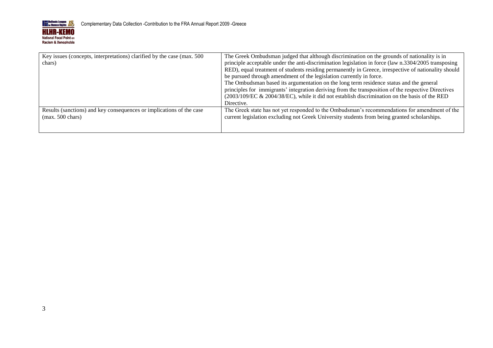

| Key issues (concepts, interpretations) clarified by the case (max. 500<br>chars) | The Greek Ombudsman judged that although discrimination on the grounds of nationality is in<br>principle acceptable under the anti-discrimination legislation in force (law n.3304/2005 transposing<br>RED), equal treatment of students residing permanently in Greece, irrespective of nationality should<br>be pursued through amendment of the legislation currently in force.<br>The Ombudsman based its argumentation on the long term residence status and the general<br>principles for immigrants' integration deriving from the transposition of the respective Directives<br>(2003/109/EC & 2004/38/EC), while it did not establish discrimination on the basis of the RED<br>Directive. |
|----------------------------------------------------------------------------------|-----------------------------------------------------------------------------------------------------------------------------------------------------------------------------------------------------------------------------------------------------------------------------------------------------------------------------------------------------------------------------------------------------------------------------------------------------------------------------------------------------------------------------------------------------------------------------------------------------------------------------------------------------------------------------------------------------|
| Results (sanctions) and key consequences or implications of the case             | The Greek state has not yet responded to the Ombudsman's recommendations for amendment of the                                                                                                                                                                                                                                                                                                                                                                                                                                                                                                                                                                                                       |
| $(max. 500 \text{ chars})$                                                       | current legislation excluding not Greek University students from being granted scholarships.                                                                                                                                                                                                                                                                                                                                                                                                                                                                                                                                                                                                        |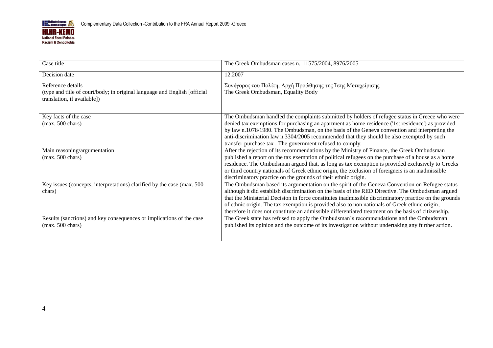

| Case title                                                                                                                     | The Greek Ombudsman cases n. 11575/2004, 8976/2005                                                                                                                                                                                                                                                                                                                                                                                                                                                                    |
|--------------------------------------------------------------------------------------------------------------------------------|-----------------------------------------------------------------------------------------------------------------------------------------------------------------------------------------------------------------------------------------------------------------------------------------------------------------------------------------------------------------------------------------------------------------------------------------------------------------------------------------------------------------------|
| Decision date                                                                                                                  | 12.2007                                                                                                                                                                                                                                                                                                                                                                                                                                                                                                               |
| Reference details<br>(type and title of court/body; in original language and English [official]<br>translation, if available]) | Συνήγορος του Πολίτη, Αρχή Προώθησης της Ίσης Μεταχείρισης<br>The Greek Ombudsman, Equality Body                                                                                                                                                                                                                                                                                                                                                                                                                      |
| Key facts of the case<br>$(max. 500 \text{ chars})$                                                                            | The Ombudsman handled the complaints submitted by holders of refugee status in Greece who were<br>denied tax exemptions for purchasing an apartment as home residence ('1st residence') as provided<br>by law n.1078/1980. The Ombudsman, on the basis of the Geneva convention and interpreting the<br>anti-discrimination law n.3304/2005 recommended that they should be also exempted by such<br>transfer-purchase tax. The government refused to comply.                                                         |
| Main reasoning/argumentation<br>$(max. 500 \text{ chars})$                                                                     | After the rejection of its recommendations by the Ministry of Finance, the Greek Ombudsman<br>published a report on the tax exemption of political refugees on the purchase of a house as a home<br>residence. The Ombudsman argued that, as long as tax exemption is provided exclusively to Greeks<br>or third country nationals of Greek ethnic origin, the exclusion of foreigners is an inadmissible<br>discriminatory practice on the grounds of their ethnic origin.                                           |
| Key issues (concepts, interpretations) clarified by the case (max. 500<br>chars)                                               | The Ombudsman based its argumentation on the spirit of the Geneva Convention on Refugee status<br>although it did establish discrimination on the basis of the RED Directive. The Ombudsman argued<br>that the Ministerial Decision in force constitutes inadmissible discriminatory practice on the grounds<br>of ethnic origin. The tax exemption is provided also to non nationals of Greek ethnic origin,<br>therefore it does not constitute an admissible differentiated treatment on the basis of citizenship. |
| Results (sanctions) and key consequences or implications of the case<br>$(max. 500 \text{ chars})$                             | The Greek state has refused to apply the Ombudsman's recommendations and the Ombudsman<br>published its opinion and the outcome of its investigation without undertaking any further action.                                                                                                                                                                                                                                                                                                                          |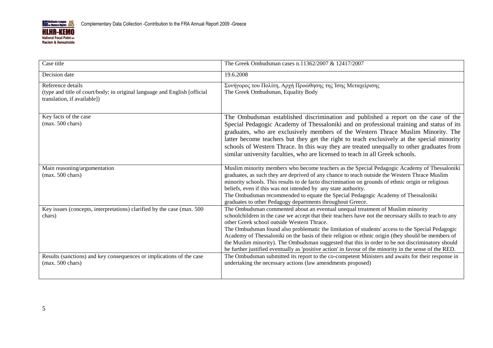

| Case title                                                                                                                     | The Greek Ombudsman cases n.11362/2007 & 12417/2007                                                                                                                                                                                                                                                                                                                                                                                                                                                                                                                                                                                                             |
|--------------------------------------------------------------------------------------------------------------------------------|-----------------------------------------------------------------------------------------------------------------------------------------------------------------------------------------------------------------------------------------------------------------------------------------------------------------------------------------------------------------------------------------------------------------------------------------------------------------------------------------------------------------------------------------------------------------------------------------------------------------------------------------------------------------|
| Decision date                                                                                                                  | 19.6.2008                                                                                                                                                                                                                                                                                                                                                                                                                                                                                                                                                                                                                                                       |
| Reference details<br>(type and title of court/body; in original language and English [official]<br>translation, if available]) | Συνήγορος του Πολίτη, Αρχή Προώθησης της Ίσης Μεταχείρισης<br>The Greek Ombudsman, Equality Body                                                                                                                                                                                                                                                                                                                                                                                                                                                                                                                                                                |
| Key facts of the case<br>$(max. 500 \text{ chars})$                                                                            | The Ombudsman established discrimination and published a report on the case of the<br>Special Pedagogic Academy of Thessaloniki and on professional training and status of its<br>graduates, who are exclusively members of the Western Thrace Muslim Minority. The<br>latter become teachers but they get the right to teach exclusively at the special minority<br>schools of Western Thrace. In this way they are treated unequally to other graduates from<br>similar university faculties, who are licensed to teach in all Greek schools.                                                                                                                 |
| Main reasoning/argumentation<br>$(max. 500 \text{ chars})$                                                                     | Muslim minority members who become teachers as the Special Pedagogic Academy of Thessaloniki<br>graduates, as such they are deprived of any chance to teach outside the Western Thrace Muslim<br>minority schools. This results to de facto discrimination on grounds of ethnic origin or religious<br>beliefs, even if this was not intended by any state authority.<br>The Ombudsman recommended to equate the Special Pedagogic Academy of Thessaloniki<br>graduates to other Pedagogy departments throughout Greece.                                                                                                                                        |
| Key issues (concepts, interpretations) clarified by the case (max. 500<br>chars)                                               | The Ombudsman commented about an eventual unequal treatment of Muslim minority<br>schoolchildren in the case we accept that their teachers have not the necessary skills to teach to any<br>other Greek school outside Western Thrace.<br>The Ombudsman found also problematic the limitation of students' access to the Special Pedagogic<br>Academy of Thessaloniki on the basis of their religion or ethnic origin (they should be members of<br>the Muslim minority). The Ombudsman suggested that this in order to be not discriminatory should<br>be further justified eventually as 'positive action' in favour of the minority in the sense of the RED. |
| Results (sanctions) and key consequences or implications of the case<br>$(max. 500 \text{ chars})$                             | The Ombudsman submitted its report to the co-competent Ministers and awaits for their response in<br>undertaking the necessary actions (law amendments proposed)                                                                                                                                                                                                                                                                                                                                                                                                                                                                                                |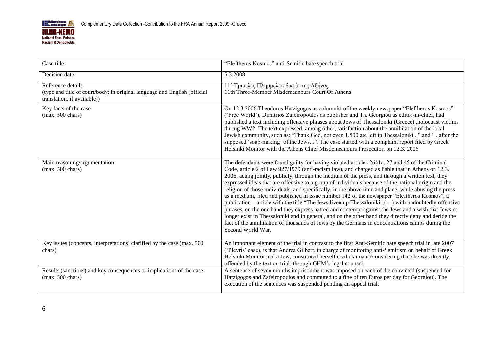

| Case title                                                                                                                     | "Eleftheros Kosmos" anti-Semitic hate speech trial                                                                                                                                                                                                                                                                                                                                                                                                                                                                                                                                                                                                                                                                                                                                                                                                                                                                                                                                                                                                                                        |
|--------------------------------------------------------------------------------------------------------------------------------|-------------------------------------------------------------------------------------------------------------------------------------------------------------------------------------------------------------------------------------------------------------------------------------------------------------------------------------------------------------------------------------------------------------------------------------------------------------------------------------------------------------------------------------------------------------------------------------------------------------------------------------------------------------------------------------------------------------------------------------------------------------------------------------------------------------------------------------------------------------------------------------------------------------------------------------------------------------------------------------------------------------------------------------------------------------------------------------------|
| Decision date                                                                                                                  | 5.3.2008                                                                                                                                                                                                                                                                                                                                                                                                                                                                                                                                                                                                                                                                                                                                                                                                                                                                                                                                                                                                                                                                                  |
| Reference details<br>(type and title of court/body; in original language and English [official]<br>translation, if available]) | 11° Τριμελές Πλημμελειοδικείο της Αθήνας<br>11th Three-Member Misdemeanours Court Of Athens                                                                                                                                                                                                                                                                                                                                                                                                                                                                                                                                                                                                                                                                                                                                                                                                                                                                                                                                                                                               |
| Key facts of the case<br>$(max. 500 \text{ chars})$                                                                            | On 12.3.2006 Theodoros Hatzigogos as columnist of the weekly newspaper "Eleftheros Kosmos"<br>('Free World'), Dimitrios Zafeiropoulos as publisher and Th. Georgiou as editor-in-chief, had<br>published a text including offensive phrases about Jews of Thessaloniki (Greece), holocaust victims<br>during WW2. The text expressed, among other, satisfaction about the annihilation of the local<br>Jewish community, such as: "Thank God, not even 1,500 are left in Thessaloniki" and "after the<br>supposed 'soap-making' of the Jews". The case started with a complaint report filed by Greek<br>Helsinki Monitor with the Athens Chief Misdemeanours Prosecutor, on 12.3. 2006                                                                                                                                                                                                                                                                                                                                                                                                   |
| Main reasoning/argumentation<br>$(max. 500 \text{ chars})$                                                                     | The defendants were found guilty for having violated articles $26\frac{8}{1}a$ , 27 and 45 of the Criminal<br>Code, article 2 of Law 927/1979 (anti-racism law), and charged as liable that in Athens on 12.3.<br>2006, acting jointly, publicly, through the medium of the press, and through a written text, they<br>expressed ideas that are offensive to a group of individuals because of the national origin and the<br>religion of those individuals, and specifically, in the above time and place, while abusing the press<br>as a medium, filed and published in issue number 142 of the newspaper "Eleftheros Kosmos", a<br>publication – article with the title "The Jews liven up Thessaloniki", $\ldots$ ) with undoubtedly offensive<br>phrases, on the one hand they express hatred and contempt against the Jews and a wish that Jews no<br>longer exist in Thessaloniki and in general, and on the other hand they directly deny and deride the<br>fact of the annihilation of thousands of Jews by the Germans in concentrations camps during the<br>Second World War. |
| Key issues (concepts, interpretations) clarified by the case (max. 500<br>chars)                                               | An important element of the trial in contrast to the first Anti-Semitic hate speech trial in late 2007<br>('Plevris' case), is that Andrea Gilbert, in charge of monitoring anti-Semitism on behalf of Greek<br>Helsinki Monitor and a Jew, constituted herself civil claimant (considering that she was directly<br>offended by the text on trial) through GHM's legal counsel.                                                                                                                                                                                                                                                                                                                                                                                                                                                                                                                                                                                                                                                                                                          |
| Results (sanctions) and key consequences or implications of the case<br>$(max. 500 \text{ chars})$                             | A sentence of seven months imprisonment was imposed on each of the convicted (suspended for<br>Hatzigogos and Zafeiropoulos and commuted to a fine of ten Euros per day for Georgiou). The<br>execution of the sentences was suspended pending an appeal trial.                                                                                                                                                                                                                                                                                                                                                                                                                                                                                                                                                                                                                                                                                                                                                                                                                           |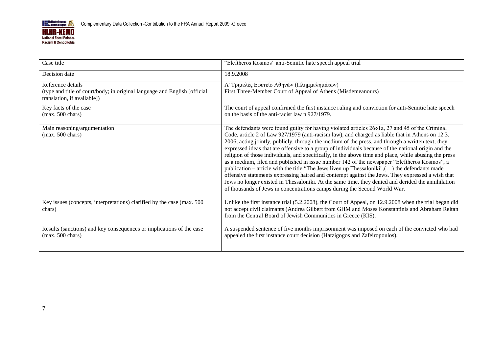

| Case title                                                                                                                    | "Eleftheros Kosmos" anti-Semitic hate speech appeal trial                                                                                                                                                                                                                                                                                                                                                                                                                                                                                                                                                                                                                                                                                                                                                                                                                                                                                                                                                         |
|-------------------------------------------------------------------------------------------------------------------------------|-------------------------------------------------------------------------------------------------------------------------------------------------------------------------------------------------------------------------------------------------------------------------------------------------------------------------------------------------------------------------------------------------------------------------------------------------------------------------------------------------------------------------------------------------------------------------------------------------------------------------------------------------------------------------------------------------------------------------------------------------------------------------------------------------------------------------------------------------------------------------------------------------------------------------------------------------------------------------------------------------------------------|
| Decision date                                                                                                                 | 18.9.2008                                                                                                                                                                                                                                                                                                                                                                                                                                                                                                                                                                                                                                                                                                                                                                                                                                                                                                                                                                                                         |
| Reference details<br>(type and title of court/body; in original language and English [official<br>translation, if available]) | Α' Τριμελές Εφετείο Αθηνών (Πλημμελημάτων)<br>First Three-Member Court of Appeal of Athens (Misdemeanours)                                                                                                                                                                                                                                                                                                                                                                                                                                                                                                                                                                                                                                                                                                                                                                                                                                                                                                        |
| Key facts of the case<br>$(max. 500 \text{ chars})$                                                                           | The court of appeal confirmed the first instance ruling and conviction for anti-Semitic hate speech<br>on the basis of the anti-racist law n.927/1979.                                                                                                                                                                                                                                                                                                                                                                                                                                                                                                                                                                                                                                                                                                                                                                                                                                                            |
| Main reasoning/argumentation<br>$(max. 500 \text{ chars})$                                                                    | The defendants were found guilty for having violated articles 26§1a, 27 and 45 of the Criminal<br>Code, article 2 of Law 927/1979 (anti-racism law), and charged as liable that in Athens on 12.3.<br>2006, acting jointly, publicly, through the medium of the press, and through a written text, they<br>expressed ideas that are offensive to a group of individuals because of the national origin and the<br>religion of those individuals, and specifically, in the above time and place, while abusing the press<br>as a medium, filed and published in issue number 142 of the newspaper "Eleftheros Kosmos", a<br>publication – article with the title "The Jews liven up Thessaloniki", $()$ the defendants made<br>offensive statements expressing hatred and contempt against the Jews. They expressed a wish that<br>Jews no longer existed in Thessaloniki. At the same time, they denied and derided the annihilation<br>of thousands of Jews in concentrations camps during the Second World War. |
| Key issues (concepts, interpretations) clarified by the case (max. 500<br>chars)                                              | Unlike the first instance trial (5.2.2008), the Court of Appeal, on 12.9.2008 when the trial began did<br>not accept civil claimants (Andrea Gilbert from GHM and Moses Konstantinis and Abraham Reitan<br>from the Central Board of Jewish Communities in Greece (KIS).                                                                                                                                                                                                                                                                                                                                                                                                                                                                                                                                                                                                                                                                                                                                          |
| Results (sanctions) and key consequences or implications of the case<br>$(max. 500 \text{ chars})$                            | A suspended sentence of five months imprisonment was imposed on each of the convicted who had<br>appealed the first instance court decision (Hatzigogos and Zafeiropoulos).                                                                                                                                                                                                                                                                                                                                                                                                                                                                                                                                                                                                                                                                                                                                                                                                                                       |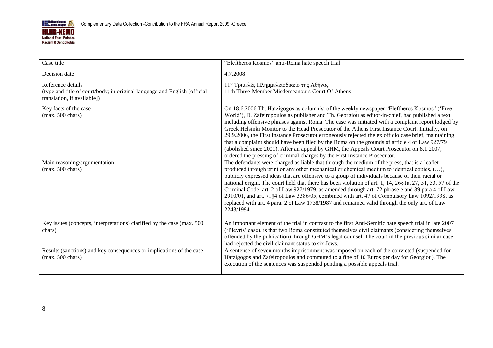

| Case title                                                                                                                     | "Eleftheros Kosmos" anti-Roma hate speech trial                                                                                                                                                                                                                                                                                                                                                                                                                                                                                                                                                                                                                                                                                                                                              |
|--------------------------------------------------------------------------------------------------------------------------------|----------------------------------------------------------------------------------------------------------------------------------------------------------------------------------------------------------------------------------------------------------------------------------------------------------------------------------------------------------------------------------------------------------------------------------------------------------------------------------------------------------------------------------------------------------------------------------------------------------------------------------------------------------------------------------------------------------------------------------------------------------------------------------------------|
| Decision date                                                                                                                  | 4.7.2008                                                                                                                                                                                                                                                                                                                                                                                                                                                                                                                                                                                                                                                                                                                                                                                     |
| Reference details<br>(type and title of court/body; in original language and English [official]<br>translation, if available]) | 11° Τριμελές Πλημμελειοδικείο της Αθήνας<br>11th Three-Member Misdemeanours Court Of Athens                                                                                                                                                                                                                                                                                                                                                                                                                                                                                                                                                                                                                                                                                                  |
| Key facts of the case<br>$(max. 500 \text{ chars})$                                                                            | On 18.6.2006 Th. Hatzigogos as columnist of the weekly newspaper "Eleftheros Kosmos" ('Free<br>World'), D. Zafeiropoulos as publisher and Th. Georgiou as editor-in-chief, had published a text<br>including offensive phrases against Roma. The case was initiated with a complaint report lodged by<br>Greek Helsinki Monitor to the Head Prosecutor of the Athens First Instance Court. Initially, on<br>29.9.2006, the First Instance Prosecutor erroneously rejected the ex officio case brief, maintaining<br>that a complaint should have been filed by the Roma on the grounds of article 4 of Law 927/79<br>(abolished since 2001). After an appeal by GHM, the Appeals Court Prosecutor on 8.1.2007,<br>ordered the pressing of criminal charges by the First Instance Prosecutor. |
| Main reasoning/argumentation<br>$(max. 500 \text{ chars})$                                                                     | The defendants were charged as liable that through the medium of the press, that is a leaflet<br>produced through print or any other mechanical or chemical medium to identical copies, (),<br>publicly expressed ideas that are offensive to a group of individuals because of their racial or<br>national origin. The court held that there has been violation of art. 1, 14, 26§1a, 27, 51, 53, 57 of the<br>Criminal Code, art. 2 of Law 927/1979, as amended through art. 72 phrase e and 39 para 4 of Law<br>2910/01, and art. 71§4 of Law 3386/05, combined with art. 47 of Compulsory Law 1092/1938, as<br>replaced with art. 4 para. 2 of Law 1738/1987 and remained valid through the only art. of Law<br>2243/1994.                                                               |
| Key issues (concepts, interpretations) clarified by the case (max. 500)<br>chars)                                              | An important element of the trial in contrast to the first Anti-Semitic hate speech trial in late 2007<br>('Plevris' case), is that two Roma constituted themselves civil claimants (considering themselves<br>offended by the publication) through GHM's legal counsel. The court in the previous similar case<br>had rejected the civil claimant status to six Jews.                                                                                                                                                                                                                                                                                                                                                                                                                       |
| Results (sanctions) and key consequences or implications of the case<br>$(max. 500 \text{ chars})$                             | A sentence of seven months imprisonment was imposed on each of the convicted (suspended for<br>Hatzigogos and Zafeiropoulos and commuted to a fine of 10 Euros per day for Georgiou). The<br>execution of the sentences was suspended pending a possible appeals trial.                                                                                                                                                                                                                                                                                                                                                                                                                                                                                                                      |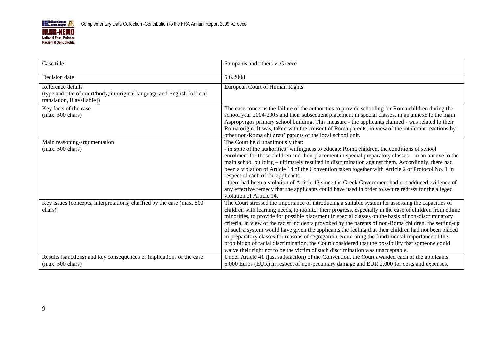

| Case title                                                                                                                    | Sampanis and others v. Greece                                                                                                                                                                                                                                                                                                                                                                                                                                                                                                                                                                                                                                                                                                                                                                                                       |
|-------------------------------------------------------------------------------------------------------------------------------|-------------------------------------------------------------------------------------------------------------------------------------------------------------------------------------------------------------------------------------------------------------------------------------------------------------------------------------------------------------------------------------------------------------------------------------------------------------------------------------------------------------------------------------------------------------------------------------------------------------------------------------------------------------------------------------------------------------------------------------------------------------------------------------------------------------------------------------|
| Decision date                                                                                                                 | 5.6.2008                                                                                                                                                                                                                                                                                                                                                                                                                                                                                                                                                                                                                                                                                                                                                                                                                            |
| Reference details<br>(type and title of court/body; in original language and English [official<br>translation, if available]) | European Court of Human Rights                                                                                                                                                                                                                                                                                                                                                                                                                                                                                                                                                                                                                                                                                                                                                                                                      |
| Key facts of the case<br>$(max. 500 \text{ chars})$                                                                           | The case concerns the failure of the authorities to provide schooling for Roma children during the<br>school year 2004-2005 and their subsequent placement in special classes, in an annexe to the main<br>Aspropyrgos primary school building. This measure - the applicants claimed - was related to their<br>Roma origin. It was, taken with the consent of Roma parents, in view of the intolerant reactions by<br>other non-Roma children' parents of the local school unit.                                                                                                                                                                                                                                                                                                                                                   |
| Main reasoning/argumentation<br>$(max. 500 \text{ chars})$                                                                    | The Court held unanimously that:<br>- in spite of the authorities' willingness to educate Roma children, the conditions of school<br>enrolment for those children and their placement in special preparatory classes – in an annexe to the<br>main school building – ultimately resulted in discrimination against them. Accordingly, there had<br>been a violation of Article 14 of the Convention taken together with Article 2 of Protocol No. 1 in<br>respect of each of the applicants.<br>- there had been a violation of Article 13 since the Greek Government had not adduced evidence of<br>any effective remedy that the applicants could have used in order to secure redress for the alleged<br>violation of Article 14.                                                                                                |
| Key issues (concepts, interpretations) clarified by the case (max. 500<br>chars)                                              | The Court stressed the importance of introducing a suitable system for assessing the capacities of<br>children with learning needs, to monitor their progress, especially in the case of children from ethnic<br>minorities, to provide for possible placement in special classes on the basis of non-discriminatory<br>criteria. In view of the racist incidents provoked by the parents of non-Roma children, the setting-up<br>of such a system would have given the applicants the feeling that their children had not been placed<br>in preparatory classes for reasons of segregation. Reiterating the fundamental importance of the<br>prohibition of racial discrimination, the Court considered that the possibility that someone could<br>waive their right not to be the victim of such discrimination was unacceptable. |
| Results (sanctions) and key consequences or implications of the case<br>$(max. 500 \text{ chars})$                            | Under Article 41 (just satisfaction) of the Convention, the Court awarded each of the applicants<br>6,000 Euros (EUR) in respect of non-pecuniary damage and EUR 2,000 for costs and expenses.                                                                                                                                                                                                                                                                                                                                                                                                                                                                                                                                                                                                                                      |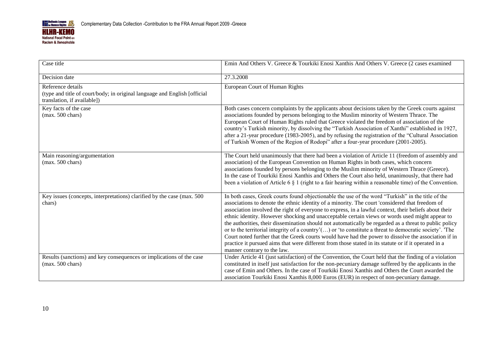

| Case title                                                                                                                    | Emin And Others V. Greece & Tourkiki Enosi Xanthis And Others V. Greece (2 cases examined                                                                                                                                                                                                                                                                                                                                                                                                                                                                                                                                                                                                                                                                                                                                                                                          |
|-------------------------------------------------------------------------------------------------------------------------------|------------------------------------------------------------------------------------------------------------------------------------------------------------------------------------------------------------------------------------------------------------------------------------------------------------------------------------------------------------------------------------------------------------------------------------------------------------------------------------------------------------------------------------------------------------------------------------------------------------------------------------------------------------------------------------------------------------------------------------------------------------------------------------------------------------------------------------------------------------------------------------|
| Decision date                                                                                                                 | 27.3.2008                                                                                                                                                                                                                                                                                                                                                                                                                                                                                                                                                                                                                                                                                                                                                                                                                                                                          |
| Reference details<br>(type and title of court/body; in original language and English [official<br>translation, if available]) | European Court of Human Rights                                                                                                                                                                                                                                                                                                                                                                                                                                                                                                                                                                                                                                                                                                                                                                                                                                                     |
| Key facts of the case<br>(max. 500 chars)                                                                                     | Both cases concern complaints by the applicants about decisions taken by the Greek courts against<br>associations founded by persons belonging to the Muslim minority of Western Thrace. The<br>European Court of Human Rights ruled that Greece violated the freedom of association of the<br>country's Turkish minority, by dissolving the "Turkish Association of Xanthi" established in 1927,<br>after a 21-year procedure (1983-2005), and by refusing the registration of the "Cultural Association<br>of Turkish Women of the Region of Rodopi" after a four-year procedure (2001-2005).                                                                                                                                                                                                                                                                                    |
| Main reasoning/argumentation<br>$(max. 500 \text{ chars})$                                                                    | The Court held unanimously that there had been a violation of Article 11 (freedom of assembly and<br>association) of the European Convention on Human Rights in both cases, which concern<br>associations founded by persons belonging to the Muslim minority of Western Thrace (Greece).<br>In the case of Tourkiki Enosi Xanthis and Others the Court also held, unanimously, that there had<br>been a violation of Article 6 $\S$ 1 (right to a fair hearing within a reasonable time) of the Convention.                                                                                                                                                                                                                                                                                                                                                                       |
| Key issues (concepts, interpretations) clarified by the case (max. 500)<br>chars)                                             | In both cases, Greek courts found objectionable the use of the word "Turkish" in the title of the<br>associations to denote the ethnic identity of a minority. The court 'considered that freedom of<br>association involved the right of everyone to express, in a lawful context, their beliefs about their<br>ethnic identity. However shocking and unacceptable certain views or words used might appear to<br>the authorities, their dissemination should not automatically be regarded as a threat to public policy<br>or to the territorial integrity of a country'() or 'to constitute a threat to democratic society'. The<br>Court noted further that the Greek courts would have had the power to dissolve the association if in<br>practice it pursued aims that were different from those stated in its statute or if it operated in a<br>manner contrary to the law. |
| Results (sanctions) and key consequences or implications of the case<br>$(max. 500 \text{ chars})$                            | Under Article 41 (just satisfaction) of the Convention, the Court held that the finding of a violation<br>constituted in itself just satisfaction for the non-pecuniary damage suffered by the applicants in the<br>case of Emin and Others. In the case of Tourkiki Enosi Xanthis and Others the Court awarded the<br>association Tourkiki Enosi Xanthis 8,000 Euros (EUR) in respect of non-pecuniary damage.                                                                                                                                                                                                                                                                                                                                                                                                                                                                    |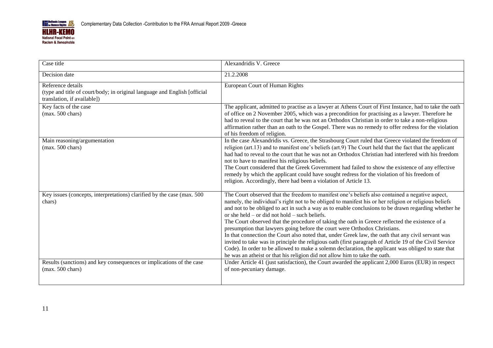

| Case title                                                                                                                     | Alexandridis V. Greece                                                                                                                                                                                                                                                                                                                                                                                                                                                                                                                                                                                                                                                                                                                                                                                                                                                                                                                                      |
|--------------------------------------------------------------------------------------------------------------------------------|-------------------------------------------------------------------------------------------------------------------------------------------------------------------------------------------------------------------------------------------------------------------------------------------------------------------------------------------------------------------------------------------------------------------------------------------------------------------------------------------------------------------------------------------------------------------------------------------------------------------------------------------------------------------------------------------------------------------------------------------------------------------------------------------------------------------------------------------------------------------------------------------------------------------------------------------------------------|
| Decision date                                                                                                                  | 21.2.2008                                                                                                                                                                                                                                                                                                                                                                                                                                                                                                                                                                                                                                                                                                                                                                                                                                                                                                                                                   |
| Reference details<br>(type and title of court/body; in original language and English [official]<br>translation, if available]) | European Court of Human Rights                                                                                                                                                                                                                                                                                                                                                                                                                                                                                                                                                                                                                                                                                                                                                                                                                                                                                                                              |
| Key facts of the case<br>$(max. 500 \text{ chars})$                                                                            | The applicant, admitted to practise as a lawyer at Athens Court of First Instance, had to take the oath<br>of office on 2 November 2005, which was a precondition for practising as a lawyer. Therefore he<br>had to reveal to the court that he was not an Orthodox Christian in order to take a non-religious<br>affirmation rather than an oath to the Gospel. There was no remedy to offer redress for the violation<br>of his freedom of religion.                                                                                                                                                                                                                                                                                                                                                                                                                                                                                                     |
| Main reasoning/argumentation<br>$(max. 500 \text{ chars})$                                                                     | In the case Alexandridis vs. Greece, the Strasbourg Court ruled that Greece violated the freedom of<br>religion (art.13) and to manifest one's beliefs (art.9) The Court held that the fact that the applicant<br>had had to reveal to the court that he was not an Orthodox Christian had interfered with his freedom<br>not to have to manifest his religious beliefs.<br>The Court considered that the Greek Government had failed to show the existence of any effective<br>remedy by which the applicant could have sought redress for the violation of his freedom of<br>religion. Accordingly, there had been a violation of Article 13.                                                                                                                                                                                                                                                                                                             |
| Key issues (concepts, interpretations) clarified by the case (max. 500<br>chars)                                               | The Court observed that the freedom to manifest one's beliefs also contained a negative aspect,<br>namely, the individual's right not to be obliged to manifest his or her religion or religious beliefs<br>and not to be obliged to act in such a way as to enable conclusions to be drawn regarding whether he<br>or she held $-$ or did not hold $-$ such beliefs.<br>The Court observed that the procedure of taking the oath in Greece reflected the existence of a<br>presumption that lawyers going before the court were Orthodox Christians.<br>In that connection the Court also noted that, under Greek law, the oath that any civil servant was<br>invited to take was in principle the religious oath (first paragraph of Article 19 of the Civil Service<br>Code). In order to be allowed to make a solemn declaration, the applicant was obliged to state that<br>he was an atheist or that his religion did not allow him to take the oath. |
| Results (sanctions) and key consequences or implications of the case<br>$(max. 500 \text{ chars})$                             | Under Article 41 (just satisfaction), the Court awarded the applicant 2,000 Euros (EUR) in respect<br>of non-pecuniary damage.                                                                                                                                                                                                                                                                                                                                                                                                                                                                                                                                                                                                                                                                                                                                                                                                                              |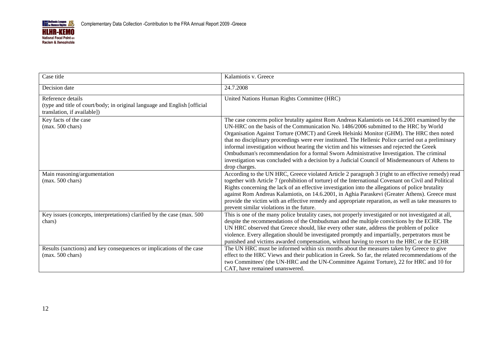

| Case title                                                                                                                     | Kalamiotis v. Greece                                                                                                                                                                                                                                                                                                                                                                                                                                                                                                                                                                                                                                                                                     |
|--------------------------------------------------------------------------------------------------------------------------------|----------------------------------------------------------------------------------------------------------------------------------------------------------------------------------------------------------------------------------------------------------------------------------------------------------------------------------------------------------------------------------------------------------------------------------------------------------------------------------------------------------------------------------------------------------------------------------------------------------------------------------------------------------------------------------------------------------|
| Decision date                                                                                                                  | 24.7.2008                                                                                                                                                                                                                                                                                                                                                                                                                                                                                                                                                                                                                                                                                                |
| Reference details<br>(type and title of court/body; in original language and English [official]<br>translation, if available]) | United Nations Human Rights Committee (HRC)                                                                                                                                                                                                                                                                                                                                                                                                                                                                                                                                                                                                                                                              |
| Key facts of the case<br>$(max. 500 \text{ chars})$                                                                            | The case concerns police brutality against Rom Andreas Kalamiotis on 14.6.2001 examined by the<br>UN-HRC on the basis of the Communication No. 1486/2006 submitted to the HRC by World<br>Organisation Against Torture (OMCT) and Greek Helsinki Monitor (GHM). The HRC then noted<br>that no disciplinary proceedings were ever instituted. The Hellenic Police carried out a preliminary<br>informal investigation without hearing the victim and his witnesses and rejected the Greek<br>Ombudsman's recommendation for a formal Sworn Administrative Investigation. The criminal<br>investigation was concluded with a decision by a Judicial Council of Misdemeanours of Athens to<br>drop charges. |
| Main reasoning/argumentation<br>$(max. 500 \text{ chars})$                                                                     | According to the UN HRC, Greece violated Article 2 paragraph 3 (right to an effective remedy) read<br>together with Article 7 (prohibition of torture) of the International Covenant on Civil and Political<br>Rights concerning the lack of an effective investigation into the allegations of police brutality<br>against Rom Andreas Kalamiotis, on 14.6.2001, in Aghia Paraskevi (Greater Athens). Greece must<br>provide the victim with an effective remedy and appropriate reparation, as well as take measures to<br>prevent similar violations in the future.                                                                                                                                   |
| Key issues (concepts, interpretations) clarified by the case (max. 500<br>chars)                                               | This is one of the many police brutality cases, not properly investigated or not investigated at all,<br>despite the recommendations of the Ombudsman and the multiple convictions by the ECHR. The<br>UN HRC observed that Greece should, like every other state, address the problem of police<br>violence. Every allegation should be investigated promptly and impartially, perpetrators must be<br>punished and victims awarded compensation, without having to resort to the HRC or the ECHR                                                                                                                                                                                                       |
| Results (sanctions) and key consequences or implications of the case<br>$(max. 500 \text{ chars})$                             | The UN HRC must be informed within six months about the measures taken by Greece to give<br>effect to the HRC Views and their publication in Greek. So far, the related recommendations of the<br>two Committees' (the UN-HRC and the UN-Committee Against Torture), 22 for HRC and 10 for<br>CAT, have remained unanswered.                                                                                                                                                                                                                                                                                                                                                                             |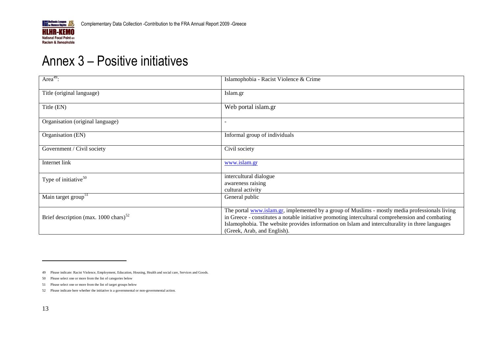

## Annex 3 – Positive initiatives

| Area <sup>49</sup> :                                         | Islamophobia - Racist Violence & Crime                                                                                                                                                                                                                                                                                               |
|--------------------------------------------------------------|--------------------------------------------------------------------------------------------------------------------------------------------------------------------------------------------------------------------------------------------------------------------------------------------------------------------------------------|
| Title (original language)                                    | Islam.gr                                                                                                                                                                                                                                                                                                                             |
| Title (EN)                                                   | Web portal islam.gr                                                                                                                                                                                                                                                                                                                  |
| Organisation (original language)                             |                                                                                                                                                                                                                                                                                                                                      |
| Organisation (EN)                                            | Informal group of individuals                                                                                                                                                                                                                                                                                                        |
| Government / Civil society                                   | Civil society                                                                                                                                                                                                                                                                                                                        |
| Internet link                                                | www.islam.gr                                                                                                                                                                                                                                                                                                                         |
| Type of initiative <sup>50</sup>                             | intercultural dialogue<br>awareness raising<br>cultural activity                                                                                                                                                                                                                                                                     |
| Main target group <sup>51</sup>                              | General public                                                                                                                                                                                                                                                                                                                       |
| Brief description (max. $1000 \text{ chars}$ ) <sup>52</sup> | The portal www.islam.gr, implemented by a group of Muslims - mostly media professionals living<br>in Greece - constitutes a notable initiative promoting intercultural comprehension and combating<br>Islamophobia. The website provides information on Islam and interculturality in three languages<br>(Greek, Arab, and English). |

<span id="page-32-0"></span><sup>49</sup> Please indicate: Racist Violence, Employment, Education, Housing, Health and social care, Services and Goods.

<sup>50</sup> Please select one or more from the list of categories below

<sup>51</sup> Please select one or more from the list of target groups below

<sup>52</sup> Please indicate here whether the initiative is a governmental or non-governmental action.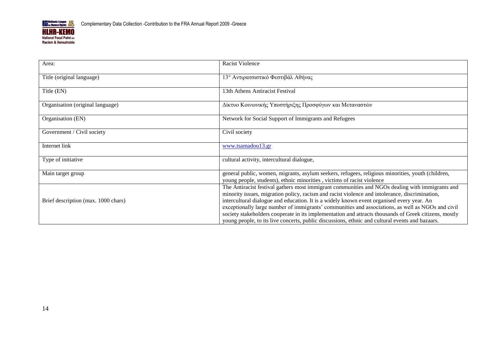

| Area:                               | <b>Racist Violence</b>                                                                                                                                                                                                                                                                                                                                                                                                                                                                                                                                                                                          |
|-------------------------------------|-----------------------------------------------------------------------------------------------------------------------------------------------------------------------------------------------------------------------------------------------------------------------------------------------------------------------------------------------------------------------------------------------------------------------------------------------------------------------------------------------------------------------------------------------------------------------------------------------------------------|
| Title (original language)           | 13° Αντιρατσιστικό Φεστιβάλ Αθήνας                                                                                                                                                                                                                                                                                                                                                                                                                                                                                                                                                                              |
| Title (EN)                          | 13th Athens Antiracist Festival                                                                                                                                                                                                                                                                                                                                                                                                                                                                                                                                                                                 |
| Organisation (original language)    | Δίκτυο Κοινωνικής Υποστήριξης Προσφύγων και Μεταναστών                                                                                                                                                                                                                                                                                                                                                                                                                                                                                                                                                          |
| Organisation (EN)                   | Network for Social Support of Immigrants and Refugees                                                                                                                                                                                                                                                                                                                                                                                                                                                                                                                                                           |
| Government / Civil society          | Civil society                                                                                                                                                                                                                                                                                                                                                                                                                                                                                                                                                                                                   |
| Internet link                       | www.tsamadou13.gr                                                                                                                                                                                                                                                                                                                                                                                                                                                                                                                                                                                               |
| Type of initiative                  | cultural activity, intercultural dialogue,                                                                                                                                                                                                                                                                                                                                                                                                                                                                                                                                                                      |
| Main target group                   | general public, women, migrants, asylum seekers, refugees, religious minorities, youth (children,<br>young people, students), ethnic minorities, victims of racist violence                                                                                                                                                                                                                                                                                                                                                                                                                                     |
| Brief description (max. 1000 chars) | The Antiracist festival gathers most immigrant communities and NGOs dealing with immigrants and<br>minority issues, migration policy, racism and racist violence and intolerance, discrimination,<br>intercultural dialogue and education. It is a widely known event organised every year. An<br>exceptionally large number of immigrants' communities and associations, as well as NGOs and civil<br>society stakeholders cooperate in its implementation and attracts thousands of Greek citizens, mostly<br>young people, to its live concerts, public discussions, ethnic and cultural events and bazaars. |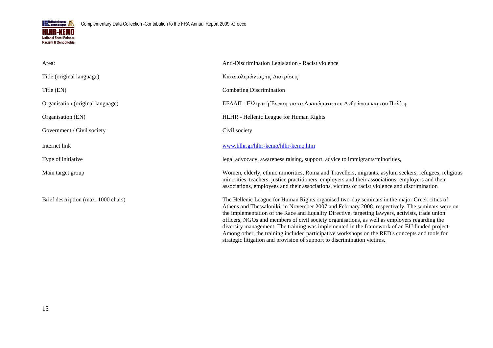

| Area:                               | Anti-Discrimination Legislation - Racist violence                                                                                                                                                                                                                                                                                                                                                                                                                                                                                                                                                                                                                                  |  |
|-------------------------------------|------------------------------------------------------------------------------------------------------------------------------------------------------------------------------------------------------------------------------------------------------------------------------------------------------------------------------------------------------------------------------------------------------------------------------------------------------------------------------------------------------------------------------------------------------------------------------------------------------------------------------------------------------------------------------------|--|
| Title (original language)           | Καταπολεμώντας τις Διακρίσεις                                                                                                                                                                                                                                                                                                                                                                                                                                                                                                                                                                                                                                                      |  |
| Title (EN)                          | <b>Combating Discrimination</b>                                                                                                                                                                                                                                                                                                                                                                                                                                                                                                                                                                                                                                                    |  |
| Organisation (original language)    | ΕΕΔΑΠ - Ελληνική Ένωση για τα Δικαιώματα του Ανθρώπου και του Πολίτη                                                                                                                                                                                                                                                                                                                                                                                                                                                                                                                                                                                                               |  |
| Organisation (EN)                   | HLHR - Hellenic League for Human Rights                                                                                                                                                                                                                                                                                                                                                                                                                                                                                                                                                                                                                                            |  |
| Government / Civil society          | Civil society                                                                                                                                                                                                                                                                                                                                                                                                                                                                                                                                                                                                                                                                      |  |
| Internet link                       | www.hlhr.gr/hlhr-kemo/hlhr-kemo.htm                                                                                                                                                                                                                                                                                                                                                                                                                                                                                                                                                                                                                                                |  |
| Type of initiative                  | legal advocacy, awareness raising, support, advice to immigrants/minorities,                                                                                                                                                                                                                                                                                                                                                                                                                                                                                                                                                                                                       |  |
| Main target group                   | Women, elderly, ethnic minorities, Roma and Travellers, migrants, asylum seekers, refugees, religious<br>minorities, teachers, justice practitioners, employers and their associations, employers and their<br>associations, employees and their associations, victims of racist violence and discrimination                                                                                                                                                                                                                                                                                                                                                                       |  |
| Brief description (max. 1000 chars) | The Hellenic League for Human Rights organised two-day seminars in the major Greek cities of<br>Athens and Thessaloniki, in November 2007 and February 2008, respectively. The seminars were on<br>the implementation of the Race and Equality Directive, targeting lawyers, activists, trade union<br>officers, NGOs and members of civil society organisations, as well as employers regarding the<br>diversity management. The training was implemented in the framework of an EU funded project.<br>Among other, the training included participative workshops on the RED's concepts and tools for<br>strategic litigation and provision of support to discrimination victims. |  |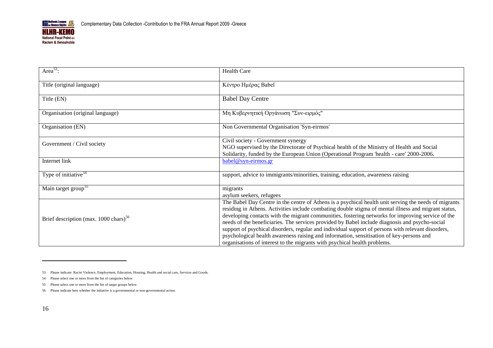

| Area <sup>53</sup> :                                         | <b>Health Care</b>                                                                                                                                                                                                                                                                                                                                                                                                                                                                                                                                                                                                                                                                                  |  |
|--------------------------------------------------------------|-----------------------------------------------------------------------------------------------------------------------------------------------------------------------------------------------------------------------------------------------------------------------------------------------------------------------------------------------------------------------------------------------------------------------------------------------------------------------------------------------------------------------------------------------------------------------------------------------------------------------------------------------------------------------------------------------------|--|
| Title (original language)                                    | Κέντρο Ημέρας Babel                                                                                                                                                                                                                                                                                                                                                                                                                                                                                                                                                                                                                                                                                 |  |
| Title (EN)                                                   | <b>Babel Day Centre</b>                                                                                                                                                                                                                                                                                                                                                                                                                                                                                                                                                                                                                                                                             |  |
| Organisation (original language)                             | Μη Κυβερνητική Οργάνωση "Συν-ειρμός"                                                                                                                                                                                                                                                                                                                                                                                                                                                                                                                                                                                                                                                                |  |
| Organisation (EN)                                            | Non Governmental Organisation 'Syn-eirmos'                                                                                                                                                                                                                                                                                                                                                                                                                                                                                                                                                                                                                                                          |  |
| Government / Civil society                                   | Civil society - Government synergy<br>NGO supervised by the Directorate of Psychical health of the Ministry of Health and Social<br>Solidarity, funded by the European Union (Operational Program 'health - care' 2000-2006.                                                                                                                                                                                                                                                                                                                                                                                                                                                                        |  |
| Internet link                                                | $babel@syn-erimos.gr$                                                                                                                                                                                                                                                                                                                                                                                                                                                                                                                                                                                                                                                                               |  |
| Type of initiative $54$                                      | support, advice to immigrants/minorities, training, education, awareness raising                                                                                                                                                                                                                                                                                                                                                                                                                                                                                                                                                                                                                    |  |
| Main target group <sup>55</sup>                              | migrants<br>asylum seekers, refugees                                                                                                                                                                                                                                                                                                                                                                                                                                                                                                                                                                                                                                                                |  |
| Brief description (max. $1000 \text{ chars}$ ) <sup>56</sup> | The Babel Day Centre in the centre of Athens is a psychical health unit serving the needs of migrants<br>residing in Athens. Activities include combating double stigma of mental illness and migrant status,<br>developing contacts with the migrant communities, fostering networks for improving service of the<br>needs of the beneficiaries. The services provided by Babel include diagnosis and psycho-social<br>support of psychical disorders, regular and individual support of persons with relevant disorders,<br>psychological health awareness raising and information, sensitisation of key-persons and<br>organisations of interest to the migrants with psychical health problems. |  |

<sup>53</sup> Please indicate: Racist Violence, Employment, Education, Housing, Health and social care, Services and Goods.

<sup>54</sup> Please select one or more from the list of categories below

<sup>55</sup> Please select one or more from the list of target groups below

<sup>56</sup> Please indicate here whether the initiative is a governmental or non-governmental action.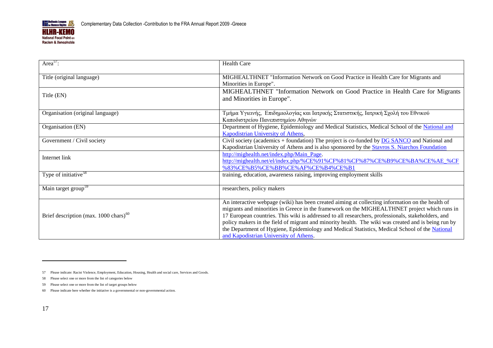

| Area <sup>57</sup> :                                         | <b>Health Care</b>                                                                                                                                                                                                                                                                                                                                                                                                                                                                                                                                        |
|--------------------------------------------------------------|-----------------------------------------------------------------------------------------------------------------------------------------------------------------------------------------------------------------------------------------------------------------------------------------------------------------------------------------------------------------------------------------------------------------------------------------------------------------------------------------------------------------------------------------------------------|
| Title (original language)                                    | MIGHEALTHNET "Information Network on Good Practice in Health Care for Migrants and<br>Minorities in Europe".                                                                                                                                                                                                                                                                                                                                                                                                                                              |
| Title (EN)                                                   | MIGHEALTHNET "Information Network on Good Practice in Health Care for Migrants<br>and Minorities in Europe".                                                                                                                                                                                                                                                                                                                                                                                                                                              |
| Organisation (original language)                             | Τμήμα Υγιεινής, Επιδημιολογίας και Ιατρικής Στατιστικής, Ιατρική Σχολή του Εθνικού<br>Καποδιστρείου Πανεπιστημίου Αθηνών                                                                                                                                                                                                                                                                                                                                                                                                                                  |
| Organisation (EN)                                            | Department of Hygiene, Epidemiology and Medical Statistics, Medical School of the National and<br>Kapodistrian University of Athens,                                                                                                                                                                                                                                                                                                                                                                                                                      |
| Government / Civil society                                   | Civil society (academics + foundation) The project is co-funded by DG SANCO and National and<br>Kapodistrian University of Athens and is also sponsored by the Stavros S. Niarchos Foundation                                                                                                                                                                                                                                                                                                                                                             |
| Internet link                                                | http://mighealth.net/index.php/Main_Page.<br>http://mighealth.net/el/index.php/%CE%91%CF%81%CF%87%CE%B9%CE%BA%CE%AE %CF<br>%83%CE%B5%CE%BB%CE%AF%CE%B4%CE%B1                                                                                                                                                                                                                                                                                                                                                                                              |
| Type of initiative <sup>58</sup>                             | training, education, awareness raising, improving employment skills                                                                                                                                                                                                                                                                                                                                                                                                                                                                                       |
| Main target group <sup>59</sup>                              | researchers, policy makers                                                                                                                                                                                                                                                                                                                                                                                                                                                                                                                                |
| Brief description (max. $1000 \text{ chars}$ ) <sup>60</sup> | An interactive webpage (wiki) has been created aiming at collecting information on the health of<br>migrants and minorities in Greece in the framework on the MIGHEALTHNET project which runs in<br>17 European countries. This wiki is addressed to all researchers, professionals, stakeholders, and<br>policy makers in the field of migrant and minority health. The wiki was created and is being run by<br>the Department of Hygiene, Epidemiology and Medical Statistics, Medical School of the National<br>and Kapodistrian University of Athens. |

<sup>57</sup> Please indicate: Racist Violence, Employment, Education, Housing, Health and social care, Services and Goods.

<sup>58</sup> Please select one or more from the list of categories below

<sup>59</sup> Please select one or more from the list of target groups below

<sup>60</sup> Please indicate here whether the initiative is a governmental or non-governmental action.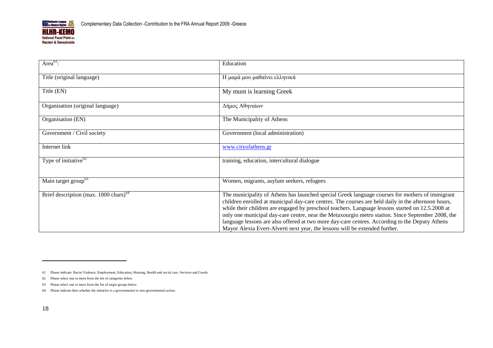

| Area $61$ :                                                  | Education                                                                                                                                                                                                                                                                                                                                                                                                                                                                                                                                                                                        |  |
|--------------------------------------------------------------|--------------------------------------------------------------------------------------------------------------------------------------------------------------------------------------------------------------------------------------------------------------------------------------------------------------------------------------------------------------------------------------------------------------------------------------------------------------------------------------------------------------------------------------------------------------------------------------------------|--|
| Title (original language)                                    | Η μαμά μου μαθαίνει ελληνικά                                                                                                                                                                                                                                                                                                                                                                                                                                                                                                                                                                     |  |
| Title (EN)                                                   | My mum is learning Greek                                                                                                                                                                                                                                                                                                                                                                                                                                                                                                                                                                         |  |
| Organisation (original language)                             | Δήμος Αθηναίων                                                                                                                                                                                                                                                                                                                                                                                                                                                                                                                                                                                   |  |
| Organisation (EN)                                            | The Municipality of Athens                                                                                                                                                                                                                                                                                                                                                                                                                                                                                                                                                                       |  |
| Government / Civil society                                   | Government (local administration)                                                                                                                                                                                                                                                                                                                                                                                                                                                                                                                                                                |  |
| Internet link                                                | www.cityofathens.gr                                                                                                                                                                                                                                                                                                                                                                                                                                                                                                                                                                              |  |
| Type of initiative $62$                                      | training, education, intercultural dialogue                                                                                                                                                                                                                                                                                                                                                                                                                                                                                                                                                      |  |
| Main target group <sup>63</sup>                              | Women, migrants, asylum seekers, refugees                                                                                                                                                                                                                                                                                                                                                                                                                                                                                                                                                        |  |
| Brief description (max. $1000 \text{ chars}$ ) <sup>64</sup> | The municipality of Athens has launched special Greek language courses for mothers of immigrant<br>children enrolled at municipal day-care centres. The courses are held daily in the afternoon hours,<br>while their children are engaged by preschool teachers. Language lessons started on 12.5.2008 at<br>only one municipal day-care centre, near the Metaxourgio metro station. Since September 2008, the<br>language lessons are also offered at two more day-care centres. According to the Deputy Athens<br>Mayor Alexia Evert-Alverti next year, the lessons will be extended further. |  |

<sup>61</sup> Please indicate: Racist Violence, Employment, Education, Housing, Health and social care, Services and Goods.

<sup>62</sup> Please select one or more from the list of categories below

<sup>63</sup> Please select one or more from the list of target groups below

<sup>64</sup> Please indicate here whether the initiative is a governmental or non-governmental action.